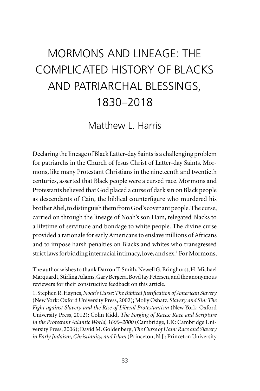## MORMONS AND LINEAGE: THE COMPLICATED HISTORY OF BLACKS AND PATRIARCHAL BLESSINGS, 1830–2018

Matthew L. Harris

Declaring the lineage of Black Latter-day Saints is a challenging problem for patriarchs in the Church of Jesus Christ of Latter-day Saints. Mormons, like many Protestant Christians in the nineteenth and twentieth centuries, asserted that Black people were a cursed race. Mormons and Protestants believed that God placed a curse of dark sin on Black people as descendants of Cain, the biblical counterfigure who murdered his brother Abel, to distinguish them from God's covenant people. The curse, carried on through the lineage of Noah's son Ham, relegated Blacks to a lifetime of servitude and bondage to white people. The divine curse provided a rationale for early Americans to enslave millions of Africans and to impose harsh penalties on Blacks and whites who transgressed strict laws forbidding interracial intimacy, love, and sex.1 For Mormons,

The author wishes to thank Darron T. Smith, Newell G. Bringhurst, H. Michael Marquardt, Stirling Adams, Gary Bergera, Boyd Jay Petersen, and the anonymous reviewers for their constructive feedback on this article.

<sup>1.</sup> Stephen R. Haynes, *Noah's Curse: The Biblical Justification of American Slavery* (New York: Oxford University Press, 2002); Molly Oshatz, *Slavery and Sin: The Fight against Slavery and the Rise of Liberal Protestantism* (New York: Oxford University Press, 2012); Colin Kidd, *The Forging of Races: Race and Scripture in the Protestant Atlantic World, 1600–2000* (Cambridge, UK: Cambridge University Press, 2006); David M. Goldenberg, *The Curse of Ham: Race and Slavery in Early Judaism, Christianity, and Islam* (Princeton, N.J.: Princeton University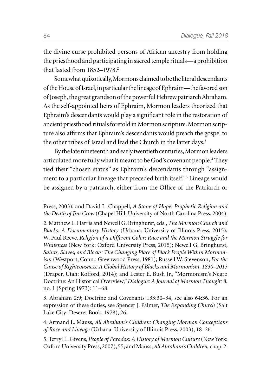the divine curse prohibited persons of African ancestry from holding the priesthood and participating in sacred temple rituals—a prohibition that lasted from  $1852 - 1978$ <sup>2</sup>

Somewhat quixotically, Mormons claimed to be the literal descendants of the House of Israel, in particular the lineage of Ephraim—the favored son of Joseph, the great grandson of the powerful Hebrew patriarch Abraham. As the self-appointed heirs of Ephraim, Mormon leaders theorized that Ephraim's descendants would play a significant role in the restoration of ancient priesthood rituals foretold in Mormon scripture. Mormon scripture also affirms that Ephraim's descendants would preach the gospel to the other tribes of Israel and lead the Church in the latter days.<sup>3</sup>

By the late nineteenth and early twentieth centuries, Mormon leaders articulated more fully what it meant to be God's covenant people.<sup>4</sup> They tied their "chosen status" as Ephraim's descendants through "assignment to a particular lineage that preceded birth itself."5 Lineage would be assigned by a patriarch, either from the Office of the Patriarch or

3. Abraham 2:9; Doctrine and Covenants 133:30–34, see also 64:36. For an expression of these duties, see Spencer J. Palmer, *The Expanding Church* (Salt Lake City: Deseret Book, 1978), 26.

4. Armand L. Mauss, *All Abraham's Children: Changing Mormon Conceptions of Race and Lineage* (Urbana: University of Illinois Press, 2003), 18–26.

Press, 2003); and David L. Chappell*, A Stone of Hope: Prophetic Religion and the Death of Jim Crow* (Chapel Hill: University of North Carolina Press, 2004).

<sup>2.</sup> Matthew L. Harris and Newell G. Bringhurst, eds., *The Mormon Church and Blacks: A Documentary History* (Urbana: University of Illinois Press, 2015); W. Paul Reeve, *Religion of a Different Color: Race and the Mormon Struggle for Whiteness* (New York: Oxford University Press, 2015); Newell G. Bringhurst, *Saints, Slaves, and Blacks: The Changing Place of Black People Within Mormonism* (Westport, Conn.: Greenwood Press, 1981); Russell W. Stevenson, *For the Cause of Righteousness: A Global History of Blacks and Mormonism, 1830–2013* (Draper, Utah: Kofford, 2014); and Lester E. Bush Jr., "Mormonism's Negro Doctrine: An Historical Overview," *Dialogue: A Journal of Mormon Though*t 8, no. 1 (Spring 1973): 11–68.

<sup>5.</sup> Terryl L. Givens, *People of Paradox: A History of Mormon Culture* (New York: Oxford University Press, 2007), 55; and Mauss, *All Abraham's Children,* chap. 2.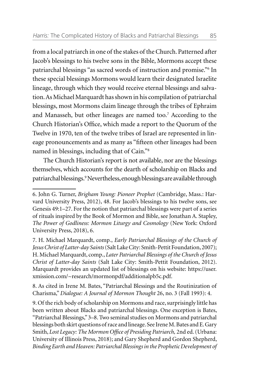from a local patriarch in one of the stakes of the Church. Patterned after Jacob's blessings to his twelve sons in the Bible, Mormons accept these patriarchal blessings "as sacred words of instruction and promise."6 In these special blessings Mormons would learn their designated Israelite lineage, through which they would receive eternal blessings and salvation. As Michael Marquardt has shown in his compilation of patriarchal blessings, most Mormons claim lineage through the tribes of Ephraim and Manasseh, but other lineages are named too.<sup>7</sup> According to the Church Historian's Office, which made a report to the Quorum of the Twelve in 1970, ten of the twelve tribes of Israel are represented in lineage pronouncements and as many as "fifteen other lineages had been named in blessings, including that of Cain."8

The Church Historian's report is not available, nor are the blessings themselves, which accounts for the dearth of scholarship on Blacks and patriarchal blessings.9 Nevertheless, enough blessings are available through

<sup>6.</sup> John G. Turner, *Brigham Young: Pioneer Prophet* (Cambridge, Mass.: Harvard University Press, 2012), 48. For Jacob's blessings to his twelve sons, see Genesis 49:1–27. For the notion that patriarchal blessings were part of a series of rituals inspired by the Book of Mormon and Bible, see Jonathan A. Stapley, *The Power of Godliness: Mormon Liturgy and Cosmology* (New York: Oxford University Press, 2018), 6.

<sup>7.</sup> H. Michael Marquardt, comp*.*, *Early Patriarchal Blessings of the Church of Jesus Christ of Latter-day Saints* (Salt Lake City: Smith-Pettit Foundation, 2007); H. Michael Marquardt, comp., *Later Patriarchal Blessings of the Church of Jesus Christ of Latter-day Saints* (Salt Lake City: Smith-Pettit Foundation, 2012). Marquardt provides an updated list of blessings on his website: https://user. xmission.com/~research/mormonpdf/additionalpb5c.pdf.

<sup>8.</sup> As cited in Irene M. Bates, "Patriarchal Blessings and the Routinization of Charisma," *Dialogue: A Journal of Mormon Thought* 26, no. 3 (Fall 1993): 4.

<sup>9.</sup> Of the rich body of scholarship on Mormons and race, surprisingly little has been written about Blacks and patriarchal blessings. One exception is Bates, "Patriarchal Blessings," 3–8. Two seminal studies on Mormons and patriarchal blessings both skirt questions of race and lineage. See Irene M. Bates and E. Gary Smith, *Lost Legacy: The Mormon Office of Presiding Patriarch,* 2nd ed. (Urbana: University of Illinois Press, 2018); and Gary Shepherd and Gordon Shepherd, *Binding Earth and Heaven: Patriarchal Blessings in the Prophetic Development of*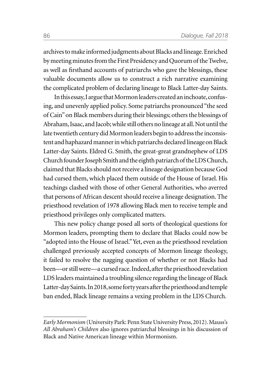archives to make informed judgments about Blacks and lineage. Enriched by meeting minutes from the First Presidency and Quorum of the Twelve, as well as firsthand accounts of patriarchs who gave the blessings, these valuable documents allow us to construct a rich narrative examining the complicated problem of declaring lineage to Black Latter-day Saints.

In this essay, I argue that Mormon leaders created an inchoate, confusing, and unevenly applied policy. Some patriarchs pronounced "the seed of Cain" on Black members during their blessings; others the blessings of Abraham, Isaac, and Jacob; while still others no lineage at all. Not until the late twentieth century did Mormon leaders begin to address the inconsistent and haphazard manner in which patriarchs declared lineage on Black Latter-day Saints. Eldred G. Smith, the great-great grandnephew of LDS Church founder Joseph Smith and the eighth patriarch of the LDS Church, claimed that Blacks should not receive a lineage designation because God had cursed them, which placed them outside of the House of Israel. His teachings clashed with those of other General Authorities, who averred that persons of African descent should receive a lineage designation. The priesthood revelation of 1978 allowing Black men to receive temple and priesthood privileges only complicated matters.

This new policy change posed all sorts of theological questions for Mormon leaders, prompting them to declare that Blacks could now be "adopted into the House of Israel." Yet, even as the priesthood revelation challenged previously accepted concepts of Mormon lineage theology, it failed to resolve the nagging question of whether or not Blacks had been—or still were—a cursed race. Indeed, after the priesthood revelation LDS leaders maintained a troubling silence regarding the lineage of Black Latter-day Saints. In 2018, some forty years after the priesthood and temple ban ended, Black lineage remains a vexing problem in the LDS Church.

*Early Mormonism* (University Park: Penn State University Press, 2012). Mauss's *All Abraham's Children* also ignores patriarchal blessings in his discussion of Black and Native American lineage within Mormonism.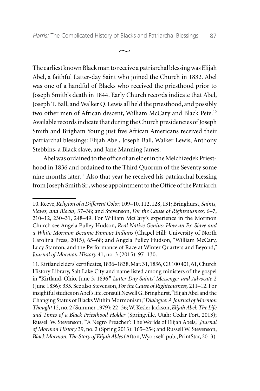$\sim$ 

The earliest known Black man to receive a patriarchal blessing was Elijah Abel, a faithful Latter-day Saint who joined the Church in 1832. Abel was one of a handful of Blacks who received the priesthood prior to Joseph Smith's death in 1844. Early Church records indicate that Abel, Joseph T. Ball, and Walker Q. Lewis all held the priesthood, and possibly two other men of African descent, William McCary and Black Pete.<sup>10</sup> Available records indicate that during the Church presidencies of Joseph Smith and Brigham Young just five African Americans received their patriarchal blessings: Elijah Abel, Joseph Ball, Walker Lewis, Anthony Stebbins, a Black slave, and Jane Manning James.

Abel was ordained to the office of an elder in the Melchizedek Priesthood in 1836 and ordained to the Third Quorum of the Seventy some nine months later.11 Also that year he received his patriarchal blessing from Joseph Smith Sr., whose appointment to the Office of the Patriarch

<sup>10.</sup> Reeve, *Religion of a Different Color,* 109–10, 112, 128, 131; Bringhurst, *Saints, Slaves, and Blacks,* 37–38; and Stevenson, *For the Cause of Righteousness,* 6–7, 210–12, 230–31, 248–49. For William McCary's experience in the Mormon Church see Angela Pulley Hudson, *Real Native Genius: How an Ex-Slave and a White Mormon Became Famous Indians* (Chapel Hill: University of North Carolina Press, 2015), 65–68; and Angela Pulley Hudson, "William McCary, Lucy Stanton, and the Performance of Race at Winter Quarters and Beyond," *Journal of Mormon History* 41, no. 3 (2015): 97–130.

<sup>11.</sup> Kirtland elders' certificates, 1836–1838, Mar. 31, 1836, CR 100 401, 61, Church History Library, Salt Lake City and name listed among ministers of the gospel in "Kirtland, Ohio, June 3, 1836," *Latter Day Saints' Messenger and Advocate* 2 (June 1836): 335. See also Stevenson, *For the Cause of Righteousness,* 211–12. For insightful studies on Abel's life, consult Newell G. Bringhurst, "Elijah Abel and the Changing Status of Blacks Within Mormonism," *Dialogue: A Journal of Mormon Thought* 12, no. 2 (Summer 1979): 22–36; W. Kesler Jackson, *Elijah Abel: The Life and Times of a Black Priesthood Holder* (Springville, Utah: Cedar Fort, 2013); Russell W. Stevenson, "'A Negro Preacher': The Worlds of Elijah Abels," *Journal of Mormon History* 39, no. 2 (Spring 2013): 165–254; and Russell W. Stevenson, *Black Mormon: The Story of Elijah Ables* (Afton, Wyo.: self-pub., PrintStar, 2013).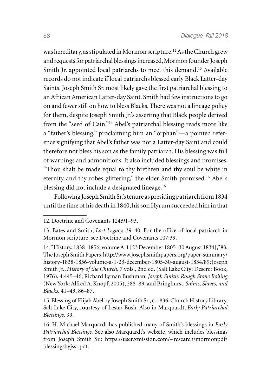was hereditary, as stipulated in Mormon scripture.<sup>12</sup> As the Church grew and requests for patriarchal blessings increased, Mormon founder Joseph Smith Jr. appointed local patriarchs to meet this demand.<sup>13</sup> Available records do not indicate if local patriarchs blessed early Black Latter-day Saints. Joseph Smith Sr. most likely gave the first patriarchal blessing to an African American Latter-day Saint. Smith had few instructions to go on and fewer still on how to bless Blacks. There was not a lineage policy for them, despite Joseph Smith Jr.'s asserting that Black people derived from the "seed of Cain."14 Abel's patriarchal blessing reads more like a "father's blessing," proclaiming him an "orphan"—a pointed reference signifying that Abel's father was not a Latter-day Saint and could therefore not bless his son as the family patriarch. His blessing was full of warnings and admonitions. It also included blessings and promises. "Thou shalt be made equal to thy brethren and thy soul be white in eternity and thy robes glittering," the elder Smith promised.<sup>15</sup> Abel's blessing did not include a designated lineage.<sup>16</sup>

Following Joseph Smith Sr.'s tenure as presiding patriarch from 1834 until the time of his death in 1840, his son Hyrum succeeded him in that

15. Blessing of Elijah Abel by Joseph Smith Sr., c. 1836, Church History Library, Salt Lake City, courtesy of Lester Bush. Also in Marquardt, *Early Patriarchal Blessings,* 99.

<sup>12.</sup> Doctrine and Covenants 124:91–93.

<sup>13.</sup> Bates and Smith, *Lost Legacy,* 39–40. For the office of local patriarch in Mormon scripture, see Doctrine and Covenants 107:39.

<sup>14. &</sup>quot;History, 1838–1856, volume A-1 [23 December 1805–30 August 1834]," 83, The Joseph Smith Papers, http://www.josephsmithpapers.org/paper-summary/ history-1838-1856-volume-a-1-23-december-1805-30-august-1834/89; Joseph Smith Jr., *History of the Church,* 7 vols., 2nd ed. (Salt Lake City: Deseret Book, 1976), 4:445–46; Richard Lyman Bushman, *Joseph Smith: Rough Stone Rolling* (New York: Alfred A. Knopf, 2005), 288–89; and Bringhurst, *Saints, Slaves, and Blacks,* 41–43, 86–87.

<sup>16.</sup> H. Michael Marquardt has published many of Smith's blessings in *Early Patriarchal Blessings.* See also Marquardt's website, which includes blessings from Joseph Smith Sr.: https://user.xmission.com/~research/mormonpdf/ blessingsbyjssr.pdf.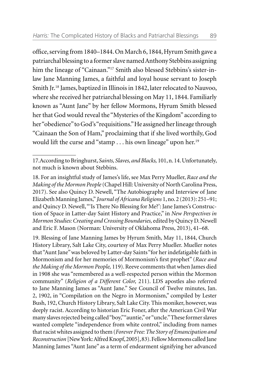office, serving from 1840–1844. On March 6, 1844, Hyrum Smith gave a patriarchal blessing to a former slave named Anthony Stebbins assigning him the lineage of "Cainaan."17 Smith also blessed Stebbins's sister-inlaw Jane Manning James, a faithful and loyal house servant to Joseph Smith Jr.18 James, baptized in Illinois in 1842, later relocated to Nauvoo, where she received her patriarchal blessing on May 11, 1844. Familiarly known as "Aunt Jane" by her fellow Mormons, Hyrum Smith blessed her that God would reveal the "Mysteries of the Kingdom" according to her "obedience" to God's "requisitions." He assigned her lineage through "Cainaan the Son of Ham," proclaiming that if she lived worthily, God would lift the curse and "stamp . . . his own lineage" upon her.<sup>19</sup>

19. Blessing of Jane Manning James by Hyrum Smith, May 11, 1844, Church History Library, Salt Lake City, courtesy of Max Perry Mueller. Mueller notes that "Aunt Jane" was beloved by Latter-day Saints "for her indefatigable faith in Mormonism and for her memories of Mormonism's first prophet" (*Race and the Making of the Mormon People,* 119). Reeve comments that when James died in 1908 she was "remembered as a well-respected person within the Mormon community" (*Religion of a Different Color,* 211). LDS apostles also referred to Jane Manning James as "Aunt Jane." See Council of Twelve minutes, Jan. 2, 1902, in "Compilation on the Negro in Mormonism," compiled by Lester Bush, 192, Church History Library, Salt Lake City. This moniker, however, was deeply racist. According to historian Eric Foner, after the American Civil War many slaves rejected being called "boy," "auntie," or "uncle." These former slaves wanted complete "independence from white control," including from names that racist whites assigned to them (*Forever Free: The Story of Emancipation and Reconstruction* [New York: Alfred Knopf, 2005], 83). Fellow Mormons called Jane Manning James "Aunt Jane" as a term of endearment signifying her advanced

<sup>17.</sup>According to Bringhurst, *Saints, Slaves, and Blacks,* 101, n. 14. Unfortunately, not much is known about Stebbins.

<sup>18.</sup> For an insightful study of James's life, see Max Perry Mueller, *Race and the Making of the Mormon People* (Chapel Hill: University of North Carolina Press, 2017). See also Quincy D. Newell, "The Autobiography and Interview of Jane Elizabeth Manning James," *Journal of Africana Religions* 1, no. 2 (2013): 251–91; and Quincy D. Newell, "'Is There No Blessing for Me?': Jane James's Construction of Space in Latter-day Saint History and Practice," in *New Perspectives in Mormon Studies: Creating and Crossing Boundaries,* edited by Quincy D. Newell and Eric F. Mason (Norman: University of Oklahoma Press, 2013), 41–68.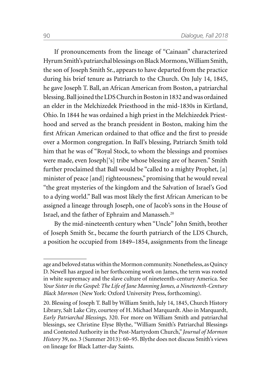If pronouncements from the lineage of "Cainaan" characterized Hyrum Smith's patriarchal blessings on Black Mormons, William Smith, the son of Joseph Smith Sr., appears to have departed from the practice during his brief tenure as Patriarch to the Church. On July 14, 1845, he gave Joseph T. Ball, an African American from Boston, a patriarchal blessing. Ball joined the LDS Church in Boston in 1832 and was ordained an elder in the Melchizedek Priesthood in the mid-1830s in Kirtland, Ohio. In 1844 he was ordained a high priest in the Melchizedek Priesthood and served as the branch president in Boston, making him the first African American ordained to that office and the first to preside over a Mormon congregation. In Ball's blessing, Patriarch Smith told him that he was of "Royal Stock, to whom the blessings and promises were made, even Joseph['s] tribe whose blessing are of heaven." Smith further proclaimed that Ball would be "called to a mighty Prophet, [a] minister of peace [and] righteousness," promising that he would reveal "the great mysteries of the kingdom and the Salvation of Israel's God to a dying world." Ball was most likely the first African American to be assigned a lineage through Joseph, one of Jacob's sons in the House of Israel, and the father of Ephraim and Manasseh.20

By the mid-nineteenth century when "Uncle" John Smith, brother of Joseph Smith Sr., became the fourth patriarch of the LDS Church, a position he occupied from 1849–1854, assignments from the lineage

age and beloved status within the Mormon community. Nonetheless, as Quincy D. Newell has argued in her forthcoming work on James, the term was rooted in white supremacy and the slave culture of nineteenth-century America. See *Your Sister in the Gospel: The Life of Jane Manning James, a Nineteenth-Century Black Mormon* (New York: Oxford University Press, forthcoming).

<sup>20.</sup> Blessing of Joseph T. Ball by William Smith, July 14, 1845, Church History Library, Salt Lake City, courtesy of H. Michael Marquardt. Also in Marquardt, *Early Patriarchal Blessings,* 320. For more on William Smith and patriarchal blessings, see Christine Elyse Blythe, "William Smith's Patriarchal Blessings and Contested Authority in the Post-Martyrdom Church," *Journal of Mormon History* 39, no. 3 (Summer 2013): 60–95. Blythe does not discuss Smith's views on lineage for Black Latter-day Saints.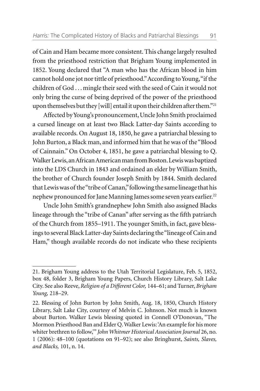of Cain and Ham became more consistent. This change largely resulted from the priesthood restriction that Brigham Young implemented in 1852. Young declared that "A man who has the African blood in him cannot hold one jot nor tittle of priesthood." According to Young, "if the children of God . . . mingle their seed with the seed of Cain it would not only bring the curse of being deprived of the power of the priesthood upon themselves but they [will] entail it upon their children after them."<sup>21</sup>

Affected by Young's pronouncement, Uncle John Smith proclaimed a cursed lineage on at least two Black Latter-day Saints according to available records. On August 18, 1850, he gave a patriarchal blessing to John Burton, a Black man, and informed him that he was of the "Blood of Cainnain." On October 4, 1851, he gave a patriarchal blessing to Q. Walker Lewis, an African American man from Boston. Lewis was baptized into the LDS Church in 1843 and ordained an elder by William Smith, the brother of Church founder Joseph Smith by 1844. Smith declared that Lewis was of the "tribe of Canan," following the same lineage that his nephew pronounced for Jane Manning James some seven years earlier.<sup>22</sup>

Uncle John Smith's grandnephew John Smith also assigned Blacks lineage through the "tribe of Canan" after serving as the fifth patriarch of the Church from 1855–1911. The younger Smith, in fact, gave blessings to several Black Latter-day Saints declaring the "lineage of Cain and Ham," though available records do not indicate who these recipients

<sup>21.</sup> Brigham Young address to the Utah Territorial Legislature, Feb. 5, 1852, box 48, folder 3, Brigham Young Papers, Church History Library, Salt Lake City. See also Reeve, *Religion of a Different Color,* 144–61; and Turner, *Brigham Young,* 218–29.

<sup>22.</sup> Blessing of John Burton by John Smith, Aug. 18, 1850, Church History Library, Salt Lake City, courtesy of Melvin C. Johnson. Not much is known about Burton. Walker Lewis blessing quoted in Connell O'Donovan, "The Mormon Priesthood Ban and Elder Q. Walker Lewis: 'An example for his more whiter brethren to follow,'" *John Whitmer Historical Association Journal* 26, no. 1 (2006): 48–100 (quotations on 91–92); see also Bringhurst, *Saints, Slaves, and Blacks,* 101, n. 14.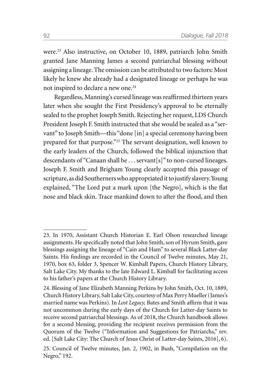were.<sup>23</sup> Also instructive, on October 10, 1889, patriarch John Smith granted Jane Manning James a second patriarchal blessing without assigning a lineage. The omission can be attributed to two factors: Most likely he knew she already had a designated lineage or perhaps he was not inspired to declare a new one.<sup>24</sup>

Regardless, Manning's cursed lineage was reaffirmed thirteen years later when she sought the First Presidency's approval to be eternally sealed to the prophet Joseph Smith. Rejecting her request, LDS Church President Joseph F. Smith instructed that she would be sealed as a "servant" to Joseph Smith—this "done [in] a special ceremony having been prepared for that purpose."<sup>25</sup> The servant designation, well known to the early leaders of the Church, followed the biblical injunction that descendants of "Canaan shall be . . . servant[s]" to non-cursed lineages. Joseph F. Smith and Brigham Young clearly accepted this passage of scripture, as did Southerners who appropriated it to justify slavery. Young explained, "The Lord put a mark upon [the Negro], which is the flat nose and black skin. Trace mankind down to after the flood, and then

<sup>23.</sup> In 1970, Assistant Church Historian E. Earl Olson researched lineage assignments. He specifically noted that John Smith, son of Hyrum Smith, gave blessings assigning the lineage of "Cain and Ham" to several Black Latter-day Saints. His findings are recorded in the Council of Twelve minutes, May 21, 1970, box 63, folder 3, Spencer W. Kimball Papers, Church History Library, Salt Lake City. My thanks to the late Edward L. Kimball for facilitating access to his father's papers at the Church History Library.

<sup>24.</sup> Blessing of Jane Elizabeth Manning Perkins by John Smith, Oct. 10, 1889, Church History Library, Salt Lake City, courtesy of Max Perry Mueller (James's married name was Perkins). In *Lost Legacy,* Bates and Smith affirm that it was not uncommon during the early days of the Church for Latter-day Saints to receive second patriarchal blessings. As of 2018, the Church handbook allows for a second blessing, providing the recipient receives permission from the Quorum of the Twelve ("Information and Suggestions for Patriarchs," rev. ed. [Salt Lake City: The Church of Jesus Christ of Latter-day Saints, 2016], 6).

<sup>25.</sup> Council of Twelve minutes, Jan. 2, 1902, in Bush, "Compilation on the Negro," 192.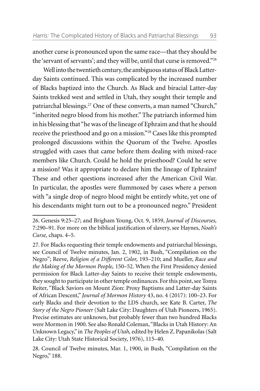another curse is pronounced upon the same race—that they should be the 'servant of servants'; and they will be, until that curse is removed."26

Well into the twentieth century, the ambiguous status of Black Latterday Saints continued. This was complicated by the increased number of Blacks baptized into the Church. As Black and biracial Latter-day Saints trekked west and settled in Utah, they sought their temple and patriarchal blessings.<sup>27</sup> One of these converts, a man named "Church," "inherited negro blood from his mother." The patriarch informed him in his blessing that "he was of the lineage of Ephraim and that he should receive the priesthood and go on a mission."28 Cases like this prompted prolonged discussions within the Quorum of the Twelve. Apostles struggled with cases that came before them dealing with mixed-race members like Church. Could he hold the priesthood? Could he serve a mission? Was it appropriate to declare him the lineage of Ephraim? These and other questions increased after the American Civil War. In particular, the apostles were flummoxed by cases where a person with "a single drop of negro blood might be entirely white, yet one of his descendants might turn out to be a pronounced negro." President

<sup>26.</sup> Genesis 9:25–27; and Brigham Young, Oct. 9, 1859, *Journal of Discourses,* 7:290–91. For more on the biblical justification of slavery, see Haynes, *Noah's Curse,* chaps. 4–5.

<sup>27.</sup> For Blacks requesting their temple endowments and patriarchal blessings, see Council of Twelve minutes, Jan. 2, 1902, in Bush, "Compilation on the Negro"; Reeve, *Religion of a Different Color,* 193–210; and Mueller, *Race and the Making of the Mormon People,* 150–52. When the First Presidency denied permission for Black Latter-day Saints to receive their temple endowments, they sought to participate in other temple ordinances. For this point, see Tonya Reiter, "Black Saviors on Mount Zion: Proxy Baptisms and Latter-day Saints of African Descent," *Journal of Mormon History* 43, no. 4 (2017): 100–23. For early Blacks and their devotion to the LDS church, see Kate B. Carter, *The Story of the Negro Pioneer* (Salt Lake City: Daughters of Utah Pioneers, 1965). Precise estimates are unknown, but probably fewer than two hundred Blacks were Mormon in 1900. See also Ronald Coleman, "Blacks in Utah History: An Unknown Legacy," in *The Peoples of Utah,* edited by Helen Z. Papanikolas (Salt Lake City: Utah State Historical Society, 1976), 115–40.

<sup>28.</sup> Council of Twelve minutes, Mar. 1, 1900, in Bush, "Compilation on the Negro," 188.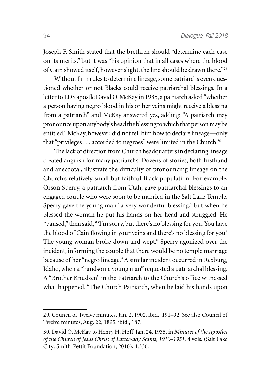Joseph F. Smith stated that the brethren should "determine each case on its merits," but it was "his opinion that in all cases where the blood of Cain showed itself, however slight, the line should be drawn there."29

Without firm rules to determine lineage, some patriarchs even questioned whether or not Blacks could receive patriarchal blessings. In a letter to LDS apostle David O. McKay in 1935, a patriarch asked "whether a person having negro blood in his or her veins might receive a blessing from a patriarch" and McKay answered yes, adding: "A patriarch may pronounce upon anybody's head the blessing to which that person may be entitled." McKay, however, did not tell him how to declare lineage—only that "privileges . . . accorded to negroes" were limited in the Church.<sup>30</sup>

The lack of direction from Church headquarters in declaring lineage created anguish for many patriarchs. Dozens of stories, both firsthand and anecdotal, illustrate the difficulty of pronouncing lineage on the Church's relatively small but faithful Black population. For example, Orson Sperry, a patriarch from Utah, gave patriarchal blessings to an engaged couple who were soon to be married in the Salt Lake Temple. Sperry gave the young man "a very wonderful blessing," but when he blessed the woman he put his hands on her head and struggled. He "paused," then said, "'I'm sorry, but there's no blessing for you. You have the blood of Cain flowing in your veins and there's no blessing for you.' The young woman broke down and wept." Sperry agonized over the incident, informing the couple that there would be no temple marriage because of her "negro lineage." A similar incident occurred in Rexburg, Idaho, when a "handsome young man" requested a patriarchal blessing. A "Brother Knudsen" in the Patriarch to the Church's office witnessed what happened. "The Church Patriarch, when he laid his hands upon

<sup>29.</sup> Council of Twelve minutes, Jan. 2, 1902, ibid., 191–92. See also Council of Twelve minutes, Aug. 22, 1895, ibid., 187.

<sup>30.</sup> David O. McKay to Henry H. Hoff, Jan. 24, 1935, in *Minutes of the Apostles of the Church of Jesus Christ of Latter-day Saints, 1910–1951,* 4 vols. (Salt Lake City: Smith-Pettit Foundation, 2010), 4:336.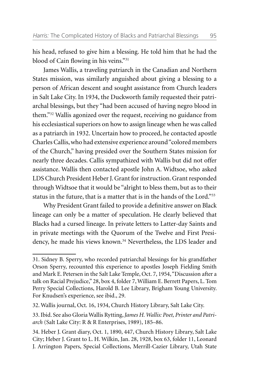his head, refused to give him a blessing. He told him that he had the blood of Cain flowing in his veins."31

James Wallis, a traveling patriarch in the Canadian and Northern States mission, was similarly anguished about giving a blessing to a person of African descent and sought assistance from Church leaders in Salt Lake City. In 1934, the Duckworth family requested their patriarchal blessings, but they "had been accused of having negro blood in them."32 Wallis agonized over the request, receiving no guidance from his ecclesiastical superiors on how to assign lineage when he was called as a patriarch in 1932. Uncertain how to proceed, he contacted apostle Charles Callis, who had extensive experience around "colored members of the Church," having presided over the Southern States mission for nearly three decades. Callis sympathized with Wallis but did not offer assistance. Wallis then contacted apostle John A. Widtsoe, who asked LDS Church President Heber J. Grant for instruction. Grant responded through Widtsoe that it would be "alright to bless them, but as to their status in the future, that is a matter that is in the hands of the Lord."33

Why President Grant failed to provide a definitive answer on Black lineage can only be a matter of speculation. He clearly believed that Blacks had a cursed lineage. In private letters to Latter-day Saints and in private meetings with the Quorum of the Twelve and First Presidency, he made his views known.<sup>34</sup> Nevertheless, the LDS leader and

<sup>31.</sup> Sidney B. Sperry, who recorded patriarchal blessings for his grandfather Orson Sperry, recounted this experience to apostles Joseph Fielding Smith and Mark E. Petersen in the Salt Lake Temple, Oct. 7, 1954, "Discussion after a talk on Racial Prejudice," 28, box 4, folder 7, William E. Berrett Papers, L. Tom Perry Special Collections, Harold B. Lee Library, Brigham Young University. For Knudsen's experience, see ibid., 29.

<sup>32.</sup> Wallis journal, Oct. 16, 1934, Church History Library, Salt Lake City.

<sup>33.</sup> Ibid. See also Gloria Wallis Rytting, *James H. Wallis: Poet, Printer and Patriarch* (Salt Lake City: R & R Enterprises, 1989), 185–86.

<sup>34.</sup> Heber J. Grant diary, Oct. 1, 1890, 447, Church History Library, Salt Lake City; Heber J. Grant to L. H. Wilkin, Jan. 28, 1928, box 63, folder 11, Leonard J. Arrington Papers, Special Collections, Merrill-Cazier Library, Utah State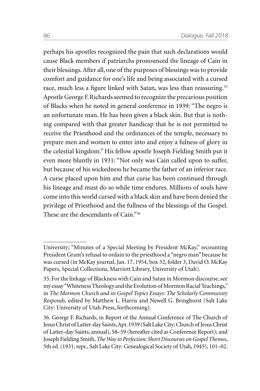perhaps his apostles recognized the pain that such declarations would cause Black members if patriarchs pronounced the lineage of Cain in their blessings. After all, one of the purposes of blessings was to provide comfort and guidance for one's life and being associated with a cursed race, much less a figure linked with Satan, was less than reassuring.<sup>35</sup> Apostle George F. Richards seemed to recognize the precarious position of Blacks when he noted in general conference in 1939: "The negro is an unfortunate man. He has been given a black skin. But that is nothing compared with that greater handicap that he is not permitted to receive the Priesthood and the ordinances of the temple, necessary to prepare men and women to enter into and enjoy a fulness of glory in the celestial kingdom." His fellow apostle Joseph Fielding Smith put it even more bluntly in 1931: "Not only was Cain called upon to suffer, but because of his wickedness he became the father of an inferior race. A curse placed upon him and that curse has been continued through his lineage and must do so while time endures. Millions of souls have come into this world cursed with a black skin and have been denied the privilege of Priesthood and the fullness of the blessings of the Gospel. These are the descendants of Cain."36

University; "Minutes of a Special Meeting by President McKay," recounting President Grant's refusal to ordain to the priesthood a "negro man" because he was cursed (in McKay journal, Jan. 17, 1954, box 32, folder 3, David O. McKay Papers, Special Collections, Marriott Library, University of Utah).

<sup>35.</sup> For the linkage of Blackness with Cain and Satan in Mormon discourse, see my essay "Whiteness Theology and the Evolution of Mormon Racial Teachings," in *The Mormon Church and its Gospel Topics Essays: The Scholarly Community Responds,* edited by Matthew L. Harris and Newell G. Bringhurst (Salt Lake City: University of Utah Press, forthcoming).

<sup>36.</sup> George F. Richards, in Report of the Annual Conference of The Church of Jesus Christ of Latter-day Saints, Apr. 1939 (Salt Lake City: Church of Jesus Christ of Latter-day Saints, annual), 58–59 (hereafter cited as Conference Report); and Joseph Fielding Smith, *The Way to Perfection: Short Discourses on Gospel Themes*, 5th ed. (1931; repr., Salt Lake City: Genealogical Society of Utah, 1945), 101–02.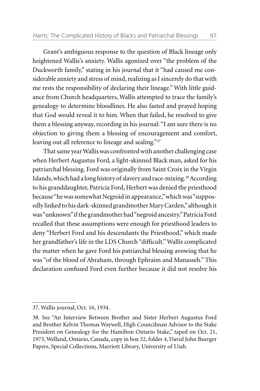Grant's ambiguous response to the question of Black lineage only heightened Wallis's anxiety. Wallis agonized over "the problem of the Duckworth family," stating in his journal that it "had caused me considerable anxiety and stress of mind, realizing as I sincerely do that with me rests the responsibility of declaring their lineage." With little guidance from Church headquarters, Wallis attempted to trace the family's genealogy to determine bloodlines. He also fasted and prayed hoping that God would reveal it to him. When that failed, he resolved to give them a blessing anyway, recording in his journal: "I am sure there is no objection to giving them a blessing of encouragement and comfort, leaving out all reference to lineage and sealing."37

That same year Wallis was confronted with another challenging case when Herbert Augustus Ford, a light-skinned Black man, asked for his patriarchal blessing. Ford was originally from Saint Croix in the Virgin Islands, which had a long history of slavery and race-mixing.<sup>38</sup> According to his granddaughter, Patricia Ford, Herbert was denied the priesthood because "he was somewhat Negroid in appearance," which was "supposedly linked to his dark-skinned grandmother Mary Carden," although it was "unknown" if the grandmother had "negroid ancestry." Patricia Ford recalled that these assumptions were enough for priesthood leaders to deny "Herbert Ford and his descendants the Priesthood," which made her grandfather's life in the LDS Church "difficult." Wallis complicated the matter when he gave Ford his patriarchal blessing avowing that he was "of the blood of Abraham, through Ephraim and Manasseh." This declaration confused Ford even further because it did not resolve his

<sup>37.</sup> Wallis journal, Oct. 16, 1934.

<sup>38.</sup> See "An Interview Between Brother and Sister Herbert Augustus Ford and Brother Kelvin Thomas Waywell, High Councilman Advisor to the Stake President on Genealogy for the Hamilton Ontario Stake," taped on Oct. 21, 1973, Welland, Ontario, Canada, copy in box 32, folder 4, David John Buerger Papers, Special Collections, Marriott Library, University of Utah.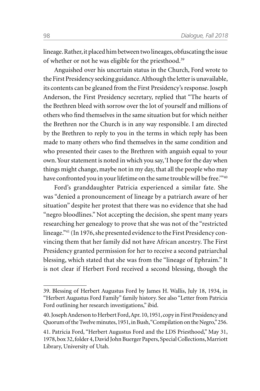lineage. Rather, it placed him between two lineages, obfuscating the issue of whether or not he was eligible for the priesthood.<sup>39</sup>

Anguished over his uncertain status in the Church, Ford wrote to the First Presidency seeking guidance. Although the letter is unavailable, its contents can be gleaned from the First Presidency's response. Joseph Anderson, the First Presidency secretary, replied that "The hearts of the Brethren bleed with sorrow over the lot of yourself and millions of others who find themselves in the same situation but for which neither the Brethren nor the Church is in any way responsible. I am directed by the Brethren to reply to you in the terms in which reply has been made to many others who find themselves in the same condition and who presented their cases to the Brethren with anguish equal to your own. Your statement is noted in which you say, 'I hope for the day when things might change, maybe not in my day, that all the people who may have confronted you in your lifetime on the same trouble will be free."<sup>40</sup>

Ford's granddaughter Patricia experienced a similar fate. She was "denied a pronouncement of lineage by a patriarch aware of her situation" despite her protest that there was no evidence that she had "negro bloodlines." Not accepting the decision, she spent many years researching her genealogy to prove that she was not of the "restricted lineage."41 (In 1976, she presented evidence to the First Presidency convincing them that her family did not have African ancestry. The First Presidency granted permission for her to receive a second patriarchal blessing, which stated that she was from the "lineage of Ephraim." It is not clear if Herbert Ford received a second blessing, though the

<sup>39.</sup> Blessing of Herbert Augustus Ford by James H. Wallis, July 18, 1934, in "Herbert Augustus Ford Family" family history. See also "Letter from Patricia Ford outlining her research investigations," ibid.

<sup>40.</sup> Joseph Anderson to Herbert Ford, Apr. 10, 1951, copy in First Presidency and Quorum of the Twelve minutes, 1951, in Bush, "Compilation on the Negro," 256.

<sup>41.</sup> Patricia Ford, "Herbert Augustus Ford and the LDS Priesthood," May 31, 1978, box 32, folder 4, David John Buerger Papers, Special Collections, Marriott Library, University of Utah.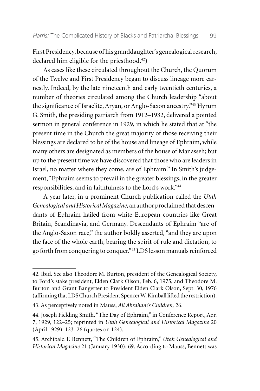First Presidency, because of his granddaughter's genealogical research, declared him eligible for the priesthood.<sup>42</sup>)

As cases like these circulated throughout the Church, the Quorum of the Twelve and First Presidency began to discuss lineage more earnestly. Indeed, by the late nineteenth and early twentieth centuries, a number of theories circulated among the Church leadership "about the significance of Israelite, Aryan, or Anglo-Saxon ancestry."43 Hyrum G. Smith, the presiding patriarch from 1912–1932, delivered a pointed sermon in general conference in 1929, in which he stated that at "the present time in the Church the great majority of those receiving their blessings are declared to be of the house and lineage of Ephraim, while many others are designated as members of the house of Manasseh; but up to the present time we have discovered that those who are leaders in Israel, no matter where they come, are of Ephraim." In Smith's judgement, "Ephraim seems to prevail in the greater blessings, in the greater responsibilities, and in faithfulness to the Lord's work."44

A year later, in a prominent Church publication called the *Utah Genealogical and Historical Magazine,* an author proclaimed that descendants of Ephraim hailed from white European countries like Great Britain, Scandinavia, and Germany. Descendants of Ephraim "are of the Anglo-Saxon race," the author boldly asserted, "and they are upon the face of the whole earth, bearing the spirit of rule and dictation, to go forth from conquering to conquer."45 LDS lesson manuals reinforced

<sup>42.</sup> Ibid. See also Theodore M. Burton, president of the Genealogical Society, to Ford's stake president, Elden Clark Olson, Feb. 6, 1975, and Theodore M. Burton and Grant Bangerter to President Elden Clark Olson, Sept. 30, 1976 (affirming that LDS Church President Spencer W. Kimball lifted the restriction).

<sup>43.</sup> As perceptively noted in Mauss, *All Abraham's Children,* 26.

<sup>44.</sup> Joseph Fielding Smith, "The Day of Ephraim," in Conference Report, Apr. 7, 1929, 122–25; reprinted in *Utah Genealogical and Historical Magazine* 20 (April 1929): 123–26 (quotes on 124).

<sup>45.</sup> Archibald F. Bennett, "The Children of Ephraim," *Utah Genealogical and Historical Magazine* 21 (January 1930): 69. According to Mauss, Bennett was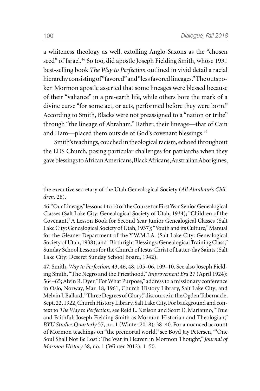a whiteness theology as well, extolling Anglo-Saxons as the "chosen seed" of Israel.<sup>46</sup> So too, did apostle Joseph Fielding Smith, whose 1931 best-selling book *The Way to Perfection* outlined in vivid detail a racial hierarchy consisting of "favored" and "less favored lineages." The outspoken Mormon apostle asserted that some lineages were blessed because of their "valiance" in a pre-earth life, while others bore the mark of a divine curse "for some act, or acts, performed before they were born." According to Smith, Blacks were not preassigned to a "nation or tribe" through "the lineage of Abraham." Rather, their lineage—that of Cain and Ham—placed them outside of God's covenant blessings.<sup>47</sup>

Smith's teachings, couched in theological racism, echoed throughout the LDS Church, posing particular challenges for patriarchs when they gave blessings to African Americans, Black Africans, Australian Aborigines,

the executive secretary of the Utah Genealogical Society (*All Abraham's Children,* 28).

<sup>46. &</sup>quot;Our Lineage," lessons 1 to 10 of the Course for First Year Senior Genealogical Classes (Salt Lake City: Genealogical Society of Utah, 1934); "Children of the Covenant," A Lesson Book for Second Year Junior Genealogical Classes (Salt Lake City: Genealogical Society of Utah, 1937); "Youth and its Culture," Manual for the Gleaner Department of the Y.W.M.I.A. (Salt Lake City: Genealogical Society of Utah, 1938); and "Birthright Blessings: Genealogical Training Class," Sunday School Lessons for the Church of Jesus Christ of Latter-day Saints (Salt Lake City: Deseret Sunday School Board, 1942).

<sup>47.</sup> Smith, *Way to Perfection,* 43, 46, 48, 105–06, 109–10. See also Joseph Fielding Smith, "The Negro and the Priesthood," *Improvement Era* 27 (April 1924): 564–65; Alvin R. Dyer, "For What Purpose," address to a missionary conference in Oslo, Norway, Mar. 18, 1961, Church History Library, Salt Lake City; and Melvin J. Ballard, "Three Degrees of Glory," discourse in the Ogden Tabernacle, Sept. 22, 1922, Church History Library, Salt Lake City. For background and context to *The Way to Perfection,* see Reid L. Neilson and Scott D. Marianno, "True and Faithful: Joseph Fielding Smith as Mormon Historian and Theologian," *BYU Studies Quarterly* 57, no. 1 (Winter 2018): 38–40. For a nuanced account of Mormon teachings on "the premortal world," see Boyd Jay Petersen, "'One Soul Shall Not Be Lost': The War in Heaven in Mormon Thought," *Journal of Mormon History* 38, no. 1 (Winter 2012): 1–50.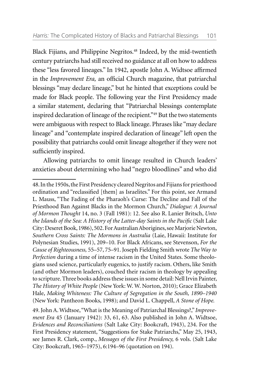Black Fijians, and Philippine Negritos.<sup>48</sup> Indeed, by the mid-twentieth century patriarchs had still received no guidance at all on how to address these "less favored lineages." In 1942, apostle John A. Widtsoe affirmed in the *Improvement Era,* an official Church magazine, that patriarchal blessings "may declare lineage," but he hinted that exceptions could be made for Black people. The following year the First Presidency made a similar statement, declaring that "Patriarchal blessings contemplate inspired declaration of lineage of the recipient."49 But the two statements were ambiguous with respect to Black lineage. Phrases like "may declare lineage" and "contemplate inspired declaration of lineage" left open the possibility that patriarchs could omit lineage altogether if they were not sufficiently inspired.

Allowing patriarchs to omit lineage resulted in Church leaders' anxieties about determining who had "negro bloodlines" and who did

<sup>48.</sup> In the 1950s, the First Presidency cleared Negritos and Fijians for priesthood ordination and "reclassified [them] as Israelites." For this point, see Armand L. Mauss, "The Fading of the Pharaoh's Curse: The Decline and Fall of the Priesthood Ban Against Blacks in the Mormon Church," *Dialogue: A Journal of Mormon Thought* 14, no. 3 (Fall 1981): 12. See also R. Lanier Britsch, *Unto the Islands of the Sea: A History of the Latter-day Saints in the Pacific* (Salt Lake City: Deseret Book, 1986), 502. For Australian Aborigines, see Marjorie Newton, *Southern Cross Saints: The Mormons in Australia* (Laie, Hawaii: Institute for Polynesian Studies, 1991), 209–10. For Black Africans, see Stevenson, *For the Cause of Righteousness,* 55–57, 75–91. Joseph Fielding Smith wrote *The Way to Perfection* during a time of intense racism in the United States. Some theologians used science, particularly eugenics, to justify racism. Others, like Smith (and other Mormon leaders), couched their racism in theology by appealing to scripture. Three books address these issues in some detail: Nell Irvin Painter, *The History of White People* (New York: W. W. Norton, 2010); Grace Elizabeth Hale, *Making Whiteness: The Culture of Segregation in the South, 1890–1940* (New York: Pantheon Books, 1998); and David L. Chappell, *A Stone of Hope.*

<sup>49.</sup> John A. Widtsoe, "What is the Meaning of Patriarchal Blessings?," *Improvement Era* 45 (January 1942): 33, 61, 63. Also published in John A. Widtsoe, *Evidences and Reconciliations* (Salt Lake City: Bookcraft, 1943), 234. For the First Presidency statement, "Suggestions for Stake Patriarchs," May 25, 1943, see James R. Clark, comp., *Messages of the First Presidency,* 6 vols. (Salt Lake City: Bookcraft, 1965–1975), 6:194–96 (quotation on 194).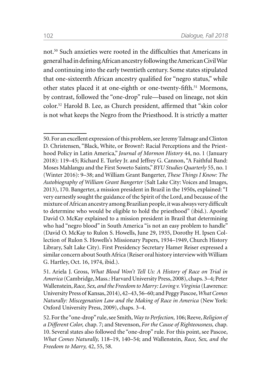not.50 Such anxieties were rooted in the difficulties that Americans in general had in defining African ancestry following the American Civil War and continuing into the early twentieth century. Some states stipulated that one-sixteenth African ancestry qualified for "negro status," while other states placed it at one-eighth or one-twenty-fifth.<sup>51</sup> Mormons, by contrast, followed the "one-drop" rule—based on lineage, not skin color.52 Harold B. Lee, as Church president, affirmed that "skin color is not what keeps the Negro from the Priesthood. It is strictly a matter

<sup>50.</sup> For an excellent expression of this problem, see Jeremy Talmage and Clinton D. Christensen, "Black, White, or Brown?: Racial Perceptions and the Priesthood Policy in Latin America," *Journal of Mormon History* 44, no. 1 (January 2018): 119–45; Richard E. Turley Jr. and Jeffrey G. Cannon, "A Faithful Band: Moses Mahlangu and the First Soweto Saints," *BYU Studies Quarterly* 55, no. 1 (Winter 2016): 9–38; and William Grant Bangerter, *These Things I Know: The Autobiography of William Grant Bangerter* (Salt Lake City: Voices and Images, 2013), 170. Bangerter, a mission president in Brazil in the 1950s, explained: "I very earnestly sought the guidance of the Spirit of the Lord, and because of the mixture of African ancestry among Brazilian people, it was always very difficult to determine who would be eligible to hold the priesthood" (ibid.). Apostle David O. McKay explained to a mission president in Brazil that determining who had "negro blood" in South America "is not an easy problem to handle" (David O. McKay to Rulon S. Howells, June 29, 1935, Dorothy H. Ipsen Collection of Rulon S. Howells's Missionary Papers, 1934–1949, Church History Library, Salt Lake City). First Presidency Secretary Hamer Reiser expressed a similar concern about South Africa (Reiser oral history interview with William G. Hartley, Oct. 16, 1974, ibid.).

<sup>51.</sup> Ariela J. Gross, *What Blood Won't Tell Us: A History of Race on Trial in America* (Cambridge, Mass.: Harvard University Press, 2008), chaps. 3–4; Peter Wallenstein, *Race, Sex, and the Freedom to Marry: Loving v. Virginia* (Lawrence: University Press of Kansas, 2014), 42–43, 56–60; and Peggy Pascoe, *What Comes Naturally: Miscegenation Law and the Making of Race in America* (New York: Oxford University Press, 2009), chaps. 3–4.

<sup>52.</sup> For the "one-drop" rule, see Smith, *Way to Perfection,* 106; Reeve, *Religion of a Different Color,* chap. 7; and Stevenson, *For the Cause of Righteousness,* chap. 10. Several states also followed the "one-drop" rule. For this point, see Pascoe, *What Comes Naturally,* 118–19, 140–54; and Wallenstein, *Race, Sex, and the Freedom to Marry,* 42, 55, 58.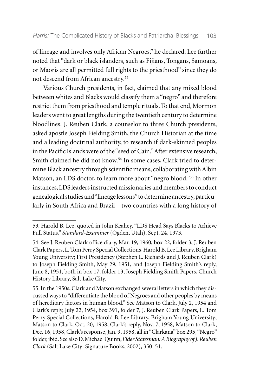of lineage and involves only African Negroes," he declared. Lee further noted that "dark or black islanders, such as Fijians, Tongans, Samoans, or Maoris are all permitted full rights to the priesthood" since they do not descend from African ancestry.53

Various Church presidents, in fact, claimed that any mixed blood between whites and Blacks would classify them a "negro" and therefore restrict them from priesthood and temple rituals. To that end, Mormon leaders went to great lengths during the twentieth century to determine bloodlines. J. Reuben Clark, a counselor to three Church presidents, asked apostle Joseph Fielding Smith, the Church Historian at the time and a leading doctrinal authority, to research if dark-skinned peoples in the Pacific Islands were of the "seed of Cain." After extensive research, Smith claimed he did not know.<sup>54</sup> In some cases, Clark tried to determine Black ancestry through scientific means, collaborating with Albin Matson, an LDS doctor, to learn more about "negro blood."55 In other instances, LDS leaders instructed missionaries and members to conduct genealogical studies and "lineage lessons" to determine ancestry, particularly in South Africa and Brazil—two countries with a long history of

55. In the 1950s, Clark and Matson exchanged several letters in which they discussed ways to "differentiate the blood of Negroes and other peoples by means of hereditary factors in human blood." See Matson to Clark, July 2, 1954 and Clark's reply, July 22, 1954, box 391, folder 7, J. Reuben Clark Papers, L. Tom Perry Special Collections, Harold B. Lee Library, Brigham Young University; Matson to Clark, Oct. 20, 1958, Clark's reply, Nov. 7, 1958, Matson to Clark, Dec. 16, 1958, Clark's response, Jan. 9, 1958, all in "Clarkana" box 295, "Negro" folder, ibid. See also D. Michael Quinn, *Elder Statesman: A Biography of J. Reuben Clark* (Salt Lake City: Signature Books, 2002), 350–51.

<sup>53.</sup> Harold B. Lee, quoted in John Keahey, "LDS Head Says Blacks to Achieve Full Status," *Standard-Examiner* (Ogden, Utah), Sept. 24, 1973.

<sup>54.</sup> See J. Reuben Clark office diary, Mar. 19, 1960, box 22, folder 3, J. Reuben Clark Papers, L. Tom Perry Special Collections, Harold B. Lee Library, Brigham Young University; First Presidency (Stephen L. Richards and J. Reuben Clark) to Joseph Fielding Smith, May 29, 1951, and Joseph Fielding Smith's reply, June 8, 1951, both in box 17, folder 13, Joseph Fielding Smith Papers, Church History Library, Salt Lake City.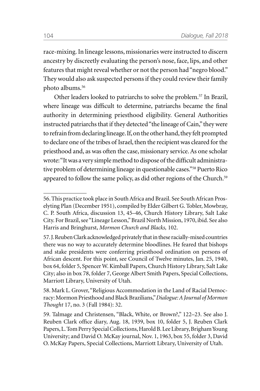race-mixing. In lineage lessons, missionaries were instructed to discern ancestry by discreetly evaluating the person's nose, face, lips, and other features that might reveal whether or not the person had "negro blood." They would also ask suspected persons if they could review their family photo albums.<sup>56</sup>

Other leaders looked to patriarchs to solve the problem.<sup>57</sup> In Brazil, where lineage was difficult to determine, patriarchs became the final authority in determining priesthood eligibility. General Authorities instructed patriarchs that if they detected "the lineage of Cain," they were to refrain from declaring lineage. If, on the other hand, they felt prompted to declare one of the tribes of Israel, then the recipient was cleared for the priesthood and, as was often the case, missionary service. As one scholar wrote: "It was a very simple method to dispose of the difficult administrative problem of determining lineage in questionable cases."58 Puerto Rico appeared to follow the same policy, as did other regions of the Church.<sup>59</sup>

<sup>56.</sup> This practice took place in South Africa and Brazil. See South African Proselyting Plan (December 1951), compiled by Elder Gilbert G. Tobler, Mowbray, C. P. South Africa, discussion 13, 45–46, Church History Library, Salt Lake City. For Brazil, see "Lineage Lesson," Brazil North Mission, 1970, ibid. See also Harris and Bringhurst, *Mormon Church and Blacks,* 102.

<sup>57.</sup> J. Reuben Clark acknowledged privately that in these racially-mixed countries there was no way to accurately determine bloodlines. He feared that bishops and stake presidents were conferring priesthood ordination on persons of African descent. For this point, see Council of Twelve minutes, Jan. 25, 1940, box 64, folder 5, Spencer W. Kimball Papers, Church History Library, Salt Lake City; also in box 78, folder 7, George Albert Smith Papers, Special Collections, Marriott Library, University of Utah.

<sup>58.</sup> Mark L. Grover, "Religious Accommodation in the Land of Racial Democracy: Mormon Priesthood and Black Brazilians," *Dialogue: A Journal of Mormon Thought* 17, no. 3 (Fall 1984): 32.

<sup>59.</sup> Talmage and Christensen, "Black, White, or Brown?," 122–23. See also J. Reuben Clark office diary, Aug. 18, 1939, box 10, folder 5, J. Reuben Clark Papers, L. Tom Perry Special Collections, Harold B. Lee Library, Brigham Young University; and David O. McKay journal, Nov. 1, 1963, box 55, folder 3, David O. McKay Papers, Special Collections, Marriott Library, University of Utah.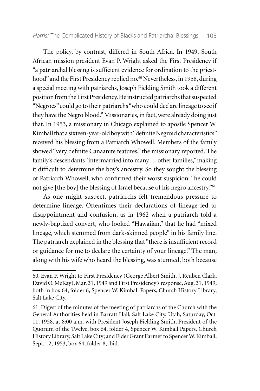The policy, by contrast, differed in South Africa. In 1949, South African mission president Evan P. Wright asked the First Presidency if "a patriarchal blessing is sufficient evidence for ordination to the priesthood" and the First Presidency replied no.<sup>60</sup> Nevertheless, in 1958, during a special meeting with patriarchs, Joseph Fielding Smith took a different position from the First Presidency. He instructed patriarchs that suspected "Negroes" could go to their patriarchs "who could declare lineage to see if they have the Negro blood." Missionaries, in fact, were already doing just that. In 1953, a missionary in Chicago explained to apostle Spencer W. Kimball that a sixteen-year-old boy with "definite Negroid characteristics" received his blessing from a Patriarch Whowell. Members of the family showed "very definite Canaanite features," the missionary reported. The family's descendants "intermarried into many . . . other families," making it difficult to determine the boy's ancestry. So they sought the blessing of Patriarch Whowell, who confirmed their worst suspicion: "he could not give [the boy] the blessing of Israel because of his negro ancestry."61

As one might suspect, patriarchs felt tremendous pressure to determine lineage. Oftentimes their declarations of lineage led to disappointment and confusion, as in 1962 when a patriarch told a newly-baptized convert, who looked "Hawaiian," that he had "mixed lineage, which stemmed from dark-skinned people" in his family line. The patriarch explained in the blessing that "there is insufficient record or guidance for me to declare the certainty of your lineage." The man, along with his wife who heard the blessing, was stunned, both because

<sup>60.</sup> Evan P. Wright to First Presidency (George Albert Smith, J. Reuben Clark, David O. McKay), Mar. 31, 1949 and First Presidency's response, Aug. 31, 1949, both in box 64, folder 6, Spencer W. Kimball Papers, Church History Library, Salt Lake City.

<sup>61.</sup> Digest of the minutes of the meeting of patriarchs of the Church with the General Authorities held in Barratt Hall, Salt Lake City, Utah, Saturday, Oct. 11, 1958, at 8:00 a.m. with President Joseph Fielding Smith, President of the Quorum of the Twelve, box 64, folder 4, Spencer W. Kimball Papers, Church History Library, Salt Lake City; and Elder Grant Farmer to Spencer W. Kimball, Sept. 12, 1953, box 64, folder 8, ibid.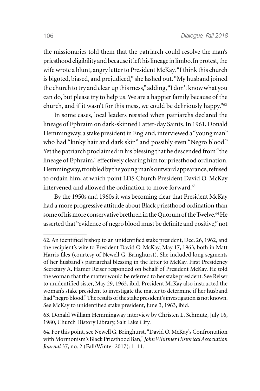the missionaries told them that the patriarch could resolve the man's priesthood eligibility and because it left his lineage in limbo. In protest, the wife wrote a blunt, angry letter to President McKay. "I think this church is bigoted, biased, and prejudiced," she lashed out. "My husband joined the church to try and clear up this mess," adding, "I don't know what you can do, but please try to help us. We are a happier family because of the church, and if it wasn't for this mess, we could be deliriously happy."62

In some cases, local leaders resisted when patriarchs declared the lineage of Ephraim on dark-skinned Latter-day Saints. In 1961, Donald Hemmingway, a stake president in England, interviewed a "young man" who had "kinky hair and dark skin" and possibly even "Negro blood." Yet the patriarch proclaimed in his blessing that he descended from "the lineage of Ephraim," effectively clearing him for priesthood ordination. Hemmingway, troubled by the young man's outward appearance, refused to ordain him, at which point LDS Church President David O. McKay intervened and allowed the ordination to move forward.<sup>63</sup>

By the 1950s and 1960s it was becoming clear that President McKay had a more progressive attitude about Black priesthood ordination than some of his more conservative brethren in the Quorum of the Twelve.<sup>64</sup> He asserted that "evidence of negro blood must be definite and positive," not

<sup>62.</sup> An identified bishop to an unidentified stake president, Dec. 26, 1962, and the recipient's wife to President David O. McKay, May 17, 1963, both in Matt Harris files (courtesy of Newell G. Bringhurst). She included long segments of her husband's patriarchal blessing in the letter to McKay. First Presidency Secretary A. Hamer Reiser responded on behalf of President McKay. He told the woman that the matter would be referred to her stake president. See Reiser to unidentified sister, May 29, 1963, ibid. President McKay also instructed the woman's stake president to investigate the matter to determine if her husband had "negro blood." The results of the stake president's investigation is not known. See McKay to unidentified stake president, June 3, 1963, ibid.

<sup>63.</sup> Donald William Hemmingway interview by Christen L. Schmutz, July 16, 1980, Church History Library, Salt Lake City.

<sup>64.</sup> For this point, see Newell G. Bringhurst, "David O. McKay's Confrontation with Mormonism's Black Priesthood Ban," *John Whitmer Historical Association Journal* 37, no. 2 (Fall/Winter 2017): 1–11.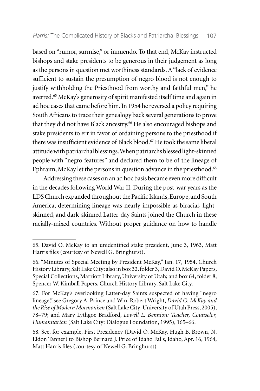based on "rumor, surmise," or innuendo. To that end, McKay instructed bishops and stake presidents to be generous in their judgement as long as the persons in question met worthiness standards. A "lack of evidence sufficient to sustain the presumption of negro blood is not enough to justify withholding the Priesthood from worthy and faithful men," he averred.65 McKay's generosity of spirit manifested itself time and again in ad hoc cases that came before him. In 1954 he reversed a policy requiring South Africans to trace their genealogy back several generations to prove that they did not have Black ancestry.<sup>66</sup> He also encouraged bishops and stake presidents to err in favor of ordaining persons to the priesthood if there was insufficient evidence of Black blood.<sup>67</sup> He took the same liberal attitude with patriarchal blessings. When patriarchs blessed light-skinned people with "negro features" and declared them to be of the lineage of Ephraim, McKay let the persons in question advance in the priesthood.<sup>68</sup>

Addressing these cases on an ad hoc basis became even more difficult in the decades following World War II. During the post-war years as the LDS Church expanded throughout the Pacific Islands, Europe, and South America, determining lineage was nearly impossible as biracial, lightskinned, and dark-skinned Latter-day Saints joined the Church in these racially-mixed countries. Without proper guidance on how to handle

<sup>65.</sup> David O. McKay to an unidentified stake president, June 3, 1963, Matt Harris files (courtesy of Newell G. Bringhurst).

<sup>66. &</sup>quot;Minutes of Special Meeting by President McKay," Jan. 17, 1954, Church History Library, Salt Lake City; also in box 32, folder 3, David O. McKay Papers, Special Collections, Marriott Library, University of Utah; and box 64, folder 8, Spencer W. Kimball Papers, Church History Library, Salt Lake City.

<sup>67.</sup> For McKay's overlooking Latter-day Saints suspected of having "negro lineage," see Gregory A. Prince and Wm. Robert Wright, *David O. McKay and the Rise of Modern Mormonism* (Salt Lake City: University of Utah Press, 2005), 78–79; and Mary Lythgoe Bradford, *Lowell L. Bennion: Teacher, Counselor, Humanitarian* (Salt Lake City: Dialogue Foundation, 1995), 165–66.

<sup>68.</sup> See, for example, First Presidency (David O. McKay, Hugh B. Brown, N. Eldon Tanner) to Bishop Bernard J. Price of Idaho Falls, Idaho, Apr. 16, 1964, Matt Harris files (courtesy of Newell G. Bringhurst)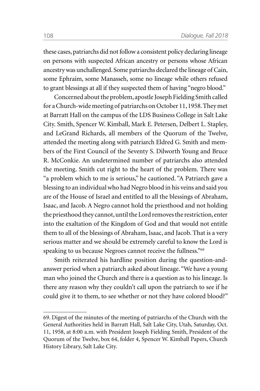these cases, patriarchs did not follow a consistent policy declaring lineage on persons with suspected African ancestry or persons whose African ancestry was unchallenged. Some patriarchs declared the lineage of Cain, some Ephraim, some Manasseh, some no lineage while others refused to grant blessings at all if they suspected them of having "negro blood."

Concerned about the problem, apostle Joseph Fielding Smith called for a Church-wide meeting of patriarchs on October 11, 1958. They met at Barratt Hall on the campus of the LDS Business College in Salt Lake City. Smith, Spencer W. Kimball, Mark E. Petersen, Delbert L. Stapley, and LeGrand Richards, all members of the Quorum of the Twelve, attended the meeting along with patriarch Eldred G. Smith and members of the First Council of the Seventy S. Dilworth Young and Bruce R. McConkie. An undetermined number of patriarchs also attended the meeting. Smith cut right to the heart of the problem. There was "a problem which to me is serious," he cautioned. "A Patriarch gave a blessing to an individual who had Negro blood in his veins and said you are of the House of Israel and entitled to all the blessings of Abraham, Isaac, and Jacob. A Negro cannot hold the priesthood and not holding the priesthood they cannot, until the Lord removes the restriction, enter into the exaltation of the Kingdom of God and that would not entitle them to all of the blessings of Abraham, Isaac, and Jacob. That is a very serious matter and we should be extremely careful to know the Lord is speaking to us because Negroes cannot receive the fullness."<sup>69</sup>

Smith reiterated his hardline position during the question-andanswer period when a patriarch asked about lineage. "We have a young man who joined the Church and there is a question as to his lineage. Is there any reason why they couldn't call upon the patriarch to see if he could give it to them, to see whether or not they have colored blood?"

<sup>69.</sup> Digest of the minutes of the meeting of patriarchs of the Church with the General Authorities held in Barratt Hall, Salt Lake City, Utah, Saturday, Oct. 11, 1958, at 8:00 a.m. with President Joseph Fielding Smith, President of the Quorum of the Twelve, box 64, folder 4, Spencer W. Kimball Papers, Church History Library, Salt Lake City.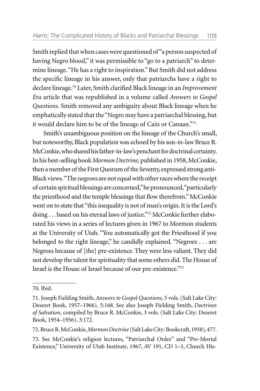Smith replied that when cases were questioned of "a person suspected of having Negro blood," it was permissible to "go to a patriarch" to determine lineage. "He has a right to inspiration." But Smith did not address the specific lineage in his answer, only that patriarchs have a right to declare lineage.70 Later, Smith clarified Black lineage in an *Improvement Era* article that was republished in a volume called *Answers to Gospel Questions.* Smith removed any ambiguity about Black lineage when he emphatically stated that the "Negro may have a patriarchal blessing, but it would declare him to be of the lineage of Cain or Canaan."71

Smith's unambiguous position on the lineage of the Church's small, but noteworthy, Black population was echoed by his son-in-law Bruce R. McConkie, who shared his father-in-law's penchant for doctrinal certainty. In his best-selling book *Mormon Doctrine,* published in 1958, McConkie, then a member of the First Quorum of the Seventy, expressed strong anti-Black views. "The negroes are not equal with other races where the receipt of certain spiritual blessings are concerned," he pronounced, "particularly the priesthood and the temple blessings that flow therefrom." McConkie went on to state that "this inequality is not of man's origin. It is the Lord's doing ... based on his eternal laws of justice."<sup>72</sup> McConkie further elaborated his views in a series of lectures given in 1967 to Mormon students at the University of Utah. "You automatically got the Priesthood if you belonged to the right lineage," he candidly explained. "Negroes . . . are Negroes because of [the] pre-existence. They were less valiant. They did not develop the talent for spirituality that some others did. The House of Israel is the House of Israel because of our pre-existence."73

<sup>70.</sup> Ibid.

<sup>71.</sup> Joseph Fielding Smith, *Answers to Gospel Questions,* 5 vols. (Salt Lake City: Deseret Book, 1957–1966), 5:168. See also Joseph Fielding Smith, *Doctrines of Salvation,* compiled by Bruce R. McConkie, 3 vols. (Salt Lake City: Deseret Book, 1954–1956), 3:172.

<sup>72.</sup> Bruce R. McConkie, *Mormon Doctrine* (Salt Lake City: Bookcraft, 1958), 477.

<sup>73.</sup> See McConkie's religion lectures, "Patriarchal Order" and "Pre-Mortal Existence," University of Utah Institute, 1967, AV 191, CD 1–3, Church His-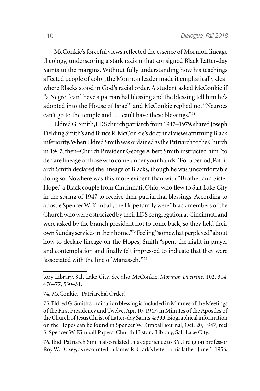McConkie's forceful views reflected the essence of Mormon lineage theology, underscoring a stark racism that consigned Black Latter-day Saints to the margins. Without fully understanding how his teachings affected people of color, the Mormon leader made it emphatically clear where Blacks stood in God's racial order. A student asked McConkie if "a Negro [can] have a patriarchal blessing and the blessing tell him he's adopted into the House of Israel" and McConkie replied no. "Negroes can't go to the temple and . . . can't have these blessings."74

Eldred G. Smith, LDS church patriarch from 1947–1979, shared Joseph Fielding Smith's and Bruce R. McConkie's doctrinal views affirming Black inferiority. When Eldred Smith was ordained as the Patriarch to the Church in 1947, then–Church President George Albert Smith instructed him "to declare lineage of those who come under your hands." For a period, Patriarch Smith declared the lineage of Blacks, though he was uncomfortable doing so. Nowhere was this more evident than with "Brother and Sister Hope," a Black couple from Cincinnati, Ohio, who flew to Salt Lake City in the spring of 1947 to receive their patriarchal blessings. According to apostle Spencer W. Kimball, the Hope family were "black members of the Church who were ostracized by their LDS congregation at Cincinnati and were asked by the branch president not to come back, so they held their own Sunday services in their home."75 Feeling "somewhat perplexed" about how to declare lineage on the Hopes, Smith "spent the night in prayer and contemplation and finally felt impressed to indicate that they were 'associated with the line of Manasseh."<sup>76</sup>

76. Ibid. Patriarch Smith also related this experience to BYU religion professor Roy W. Doxey, as recounted in James R. Clark's letter to his father, June 1, 1956,

tory Library, Salt Lake City. See also McConkie, *Mormon Doctrine,* 102, 314, 476–77, 530–31.

<sup>74.</sup> McConkie, "Patriarchal Order."

<sup>75.</sup> Eldred G. Smith's ordination blessing is included in Minutes of the Meetings of the First Presidency and Twelve, Apr. 10, 1947, in Minutes of the Apostles of the Church of Jesus Christ of Latter-day Saints, 4:333. Biographical information on the Hopes can be found in Spencer W. Kimball journal, Oct. 20, 1947, reel 5, Spencer W. Kimball Papers, Church History Library, Salt Lake City.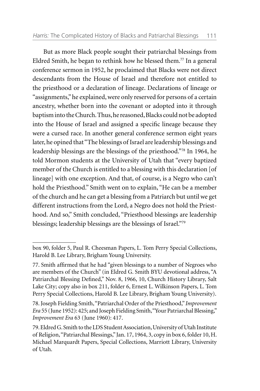But as more Black people sought their patriarchal blessings from Eldred Smith, he began to rethink how he blessed them.<sup>77</sup> In a general conference sermon in 1952, he proclaimed that Blacks were not direct descendants from the House of Israel and therefore not entitled to the priesthood or a declaration of lineage. Declarations of lineage or "assignments," he explained, were only reserved for persons of a certain ancestry, whether born into the covenant or adopted into it through baptism into the Church. Thus, he reasoned, Blacks could not be adopted into the House of Israel and assigned a specific lineage because they were a cursed race. In another general conference sermon eight years later, he opined that "The blessings of Israel are leadership blessings and leadership blessings are the blessings of the priesthood."78 In 1964, he told Mormon students at the University of Utah that "every baptized member of the Church is entitled to a blessing with this declaration [of lineage] with one exception. And that, of course, is a Negro who can't hold the Priesthood." Smith went on to explain, "He can be a member of the church and he can get a blessing from a Patriarch but until we get different instructions from the Lord, a Negro does not hold the Priesthood. And so," Smith concluded, "Priesthood blessings are leadership blessings; leadership blessings are the blessings of Israel."79

box 90, folder 5, Paul R. Cheesman Papers, L. Tom Perry Special Collections, Harold B. Lee Library, Brigham Young University.

<sup>77.</sup> Smith affirmed that he had "given blessings to a number of Negroes who are members of the Church" (in Eldred G. Smith BYU devotional address, "A Patriarchal Blessing Defined," Nov. 8, 1966, 10, Church History Library, Salt Lake City; copy also in box 211, folder 6, Ernest L. Wilkinson Papers, L. Tom Perry Special Collections, Harold B. Lee Library, Brigham Young University).

<sup>78.</sup> Joseph Fielding Smith, "Patriarchal Order of the Priesthood," *Improvement Era* 55 (June 1952): 425; and Joseph Fielding Smith, "Your Patriarchal Blessing," *Improvement Era* 63 (June 1960): 417.

<sup>79.</sup> Eldred G. Smith to the LDS Student Association, University of Utah Institute of Religion, "Patriarchal Blessings," Jan. 17, 1964, 3, copy in box 6, folder 10, H. Michael Marquardt Papers, Special Collections, Marriott Library, University of Utah.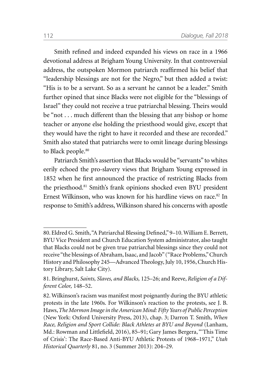Smith refined and indeed expanded his views on race in a 1966 devotional address at Brigham Young University. In that controversial address, the outspoken Mormon patriarch reaffirmed his belief that "leadership blessings are not for the Negro," but then added a twist: "His is to be a servant. So as a servant he cannot be a leader." Smith further opined that since Blacks were not eligible for the "blessings of Israel" they could not receive a true patriarchal blessing. Theirs would be "not . . . much different than the blessing that any bishop or home teacher or anyone else holding the priesthood would give, except that they would have the right to have it recorded and these are recorded." Smith also stated that patriarchs were to omit lineage during blessings to Black people.<sup>80</sup>

Patriarch Smith's assertion that Blacks would be "servants" to whites eerily echoed the pro-slavery views that Brigham Young expressed in 1852 when he first announced the practice of restricting Blacks from the priesthood.81 Smith's frank opinions shocked even BYU president Ernest Wilkinson, who was known for his hardline views on race.<sup>82</sup> In response to Smith's address, Wilkinson shared his concerns with apostle

<sup>80.</sup> Eldred G. Smith, "A Patriarchal Blessing Defined," 9–10. William E. Berrett, BYU Vice President and Church Education System administrator, also taught that Blacks could not be given true patriarchal blessings since they could not receive "the blessings of Abraham, Isaac, and Jacob" ("Race Problems," Church History and Philosophy 245—Advanced Theology, July 10, 1956, Church History Library, Salt Lake City).

<sup>81.</sup> Bringhurst, *Saints, Slaves, and Blacks,* 125–26; and Reeve, *Religion of a Different Color,* 148–52.

<sup>82.</sup> Wilkinson's racism was manifest most poignantly during the BYU athletic protests in the late 1960s. For Wilkinson's reaction to the protests, see J. B. Haws, *The Mormon Image in the American Mind: Fifty Years of Public Perception* (New York: Oxford University Press, 2013), chap. 3; Darron T. Smith, *When Race, Religion and Sport Collide: Black Athletes at BYU and Beyond* (Lanham, Md.: Rowman and Littlefield, 2016), 85–91; Gary James Bergera, "'This Time of Crisis': The Race-Based Anti-BYU Athletic Protests of 1968–1971," *Utah Historical Quarterly* 81, no. 3 (Summer 2013): 204–29.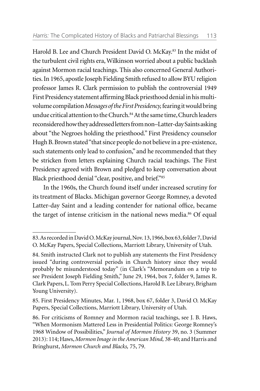Harold B. Lee and Church President David O. McKay.<sup>83</sup> In the midst of the turbulent civil rights era, Wilkinson worried about a public backlash against Mormon racial teachings. This also concerned General Authorities. In 1965, apostle Joseph Fielding Smith refused to allow BYU religion professor James R. Clark permission to publish the controversial 1949 First Presidency statement affirming Black priesthood denial in his multivolume compilation *Messages of the First Presidency,* fearing it would bring undue critical attention to the Church.<sup>84</sup> At the same time, Church leaders reconsidered how they addressed letters from non–Latter-day Saints asking about "the Negroes holding the priesthood." First Presidency counselor Hugh B. Brown stated "that since people do not believe in a pre-existence, such statements only lead to confusion," and he recommended that they be stricken from letters explaining Church racial teachings. The First Presidency agreed with Brown and pledged to keep conversation about Black priesthood denial "clear, positive, and brief."85

In the 1960s, the Church found itself under increased scrutiny for its treatment of Blacks. Michigan governor George Romney, a devoted Latter-day Saint and a leading contender for national office, became the target of intense criticism in the national news media.<sup>86</sup> Of equal

<sup>83.</sup> As recorded in David O. McKay journal, Nov. 13, 1966, box 63, folder 7, David O. McKay Papers, Special Collections, Marriott Library, University of Utah.

<sup>84.</sup> Smith instructed Clark not to publish any statements the First Presidency issued "during controversial periods in Church history since they would probably be misunderstood today" (in Clark's "Memorandum on a trip to see President Joseph Fielding Smith," June 29, 1964, box 7, folder 9, James R. Clark Papers, L. Tom Perry Special Collections, Harold B. Lee Library, Brigham Young University).

<sup>85.</sup> First Presidency Minutes, Mar. 1, 1968, box 67, folder 3, David O. McKay Papers, Special Collections, Marriott Library, University of Utah.

<sup>86.</sup> For criticisms of Romney and Mormon racial teachings, see J. B. Haws, "When Mormonism Mattered Less in Presidential Politics: George Romney's 1968 Window of Possibilities," *Journal of Mormon History* 39, no. 3 (Summer 2013): 114; Haws, *Mormon Image in the American Mind,* 38-40; and Harris and Bringhurst, *Mormon Church and Blacks,* 75, 79.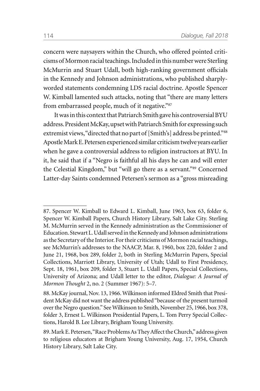concern were naysayers within the Church, who offered pointed criticisms of Mormon racial teachings. Included in this number were Sterling McMurrin and Stuart Udall, both high-ranking government officials in the Kennedy and Johnson administrations, who published sharplyworded statements condemning LDS racial doctrine. Apostle Spencer W. Kimball lamented such attacks, noting that "there are many letters from embarrassed people, much of it negative."87

It was in this context that Patriarch Smith gave his controversial BYU address. President McKay, upset with Patriarch Smith for expressing such extremist views, "directed that no part of [Smith's] address be printed."88 Apostle Mark E. Petersen experienced similar criticism twelve years earlier when he gave a controversial address to religion instructors at BYU. In it, he said that if a "Negro is faithful all his days he can and will enter the Celestial Kingdom," but "will go there as a servant."89 Concerned Latter-day Saints condemned Petersen's sermon as a "gross misreading

<sup>87.</sup> Spencer W. Kimball to Edward L. Kimball, June 1963, box 63, folder 6, Spencer W. Kimball Papers, Church History Library, Salt Lake City. Sterling M. McMurrin served in the Kennedy administration as the Commissioner of Education. Stewart L. Udall served in the Kennedy and Johnson administrations as the Secretary of the Interior. For their criticisms of Mormon racial teachings, see McMurrin's addresses to the NAACP, Mar. 8, 1960, box 220, folder 2 and June 21, 1968, box 289, folder 2, both in Sterling McMurrin Papers, Special Collections, Marriott Library, University of Utah; Udall to First Presidency, Sept. 18, 1961, box 209, folder 3, Stuart L. Udall Papers, Special Collections, University of Arizona; and Udall letter to the editor, *Dialogue: A Journal of Mormon Thought* 2, no. 2 (Summer 1967): 5–7.

<sup>88.</sup> McKay journal, Nov. 13, 1966. Wilkinson informed Eldred Smith that President McKay did not want the address published "because of the present turmoil over the Negro question." See Wilkinson to Smith, November 25, 1966, box 378, folder 3, Ernest L. Wilkinson Presidential Papers, L. Tom Perry Special Collections, Harold B. Lee Library, Brigham Young University.

<sup>89.</sup> Mark E. Petersen, "Race Problems As They Affect the Church," address given to religious educators at Brigham Young University, Aug. 17, 1954, Church History Library, Salt Lake City.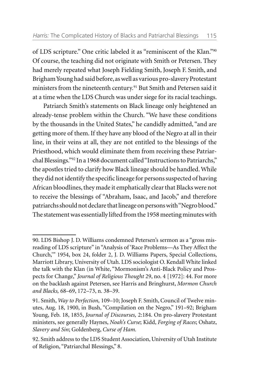of LDS scripture." One critic labeled it as "reminiscent of the Klan."90 Of course, the teaching did not originate with Smith or Petersen. They had merely repeated what Joseph Fielding Smith, Joseph F. Smith, and Brigham Young had said before, as well as various pro-slavery Protestant ministers from the nineteenth century.91 But Smith and Petersen said it at a time when the LDS Church was under siege for its racial teachings.

Patriarch Smith's statements on Black lineage only heightened an already-tense problem within the Church. "We have these conditions by the thousands in the United States," he candidly admitted, "and are getting more of them. If they have any blood of the Negro at all in their line, in their veins at all, they are not entitled to the blessings of the Priesthood, which would eliminate them from receiving these Patriarchal Blessings."92 In a 1968 document called "Instructions to Patriarchs," the apostles tried to clarify how Black lineage should be handled. While they did not identify the specific lineage for persons suspected of having African bloodlines, they made it emphatically clear that Blacks were not to receive the blessings of "Abraham, Isaac, and Jacob," and therefore patriarchs should not declare that lineage on persons with "Negro blood." The statement was essentially lifted from the 1958 meeting minutes with

<sup>90.</sup> LDS Bishop J. D. Williams condemned Petersen's sermon as a "gross misreading of LDS scripture" in "Analysis of 'Race Problems—As They Affect the Church,'" 1954, box 24, folder 2, J. D. Williams Papers, Special Collections, Marriott Library, University of Utah. LDS sociologist O. Kendall White linked the talk with the Klan (in White, "Mormonism's Anti-Black Policy and Prospects for Change," *Journal of Religious Thought* 29, no. 4 [1972]: 44. For more on the backlash against Petersen, see Harris and Bringhurst, *Mormon Church and Blacks,* 68–69, 172–73, n. 38–39.

<sup>91.</sup> Smith, *Way to Perfection,* 109–10; Joseph F. Smith, Council of Twelve minutes, Aug. 18, 1900, in Bush, "Compilation on the Negro," 191–92; Brigham Young, Feb. 18, 1855, *Journal of Discourses,* 2:184. On pro-slavery Protestant ministers, see generally Haynes, *Noah's Curse*; Kidd, *Forging of Races*; Oshatz, *Slavery and Sin*; Goldenberg, *Curse of Ham.*

<sup>92.</sup> Smith address to the LDS Student Association, University of Utah Institute of Religion, "Patriarchal Blessings," 8.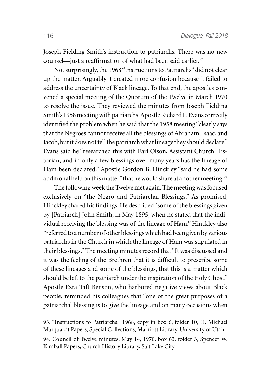Joseph Fielding Smith's instruction to patriarchs. There was no new counsel—just a reaffirmation of what had been said earlier.<sup>93</sup>

Not surprisingly, the 1968 "Instructions to Patriarchs" did not clear up the matter. Arguably it created more confusion because it failed to address the uncertainty of Black lineage. To that end, the apostles convened a special meeting of the Quorum of the Twelve in March 1970 to resolve the issue. They reviewed the minutes from Joseph Fielding Smith's 1958 meeting with patriarchs. Apostle Richard L. Evans correctly identified the problem when he said that the 1958 meeting "clearly says that the Negroes cannot receive all the blessings of Abraham, Isaac, and Jacob, but it does not tell the patriarch what lineage they should declare." Evans said he "researched this with Earl Olson, Assistant Church Historian, and in only a few blessings over many years has the lineage of Ham been declared." Apostle Gordon B. Hinckley "said he had some additional help on this matter" that he would share at another meeting.<sup>94</sup>

The following week the Twelve met again. The meeting was focused exclusively on "the Negro and Patriarchal Blessings." As promised, Hinckley shared his findings. He described "some of the blessings given by [Patriarch] John Smith, in May 1895, when he stated that the individual receiving the blessing was of the lineage of Ham." Hinckley also "referred to a number of other blessings which had been given by various patriarchs in the Church in which the lineage of Ham was stipulated in their blessings." The meeting minutes record that "It was discussed and it was the feeling of the Brethren that it is difficult to prescribe some of these lineages and some of the blessings, that this is a matter which should be left to the patriarch under the inspiration of the Holy Ghost." Apostle Ezra Taft Benson, who harbored negative views about Black people, reminded his colleagues that "one of the great purposes of a patriarchal blessing is to give the lineage and on many occasions when

<sup>93. &</sup>quot;Instructions to Patriarchs," 1968, copy in box 6, folder 10, H. Michael Marquardt Papers, Special Collections, Marriott Library, University of Utah.

<sup>94.</sup> Council of Twelve minutes, May 14, 1970, box 63, folder 3, Spencer W. Kimball Papers, Church History Library, Salt Lake City.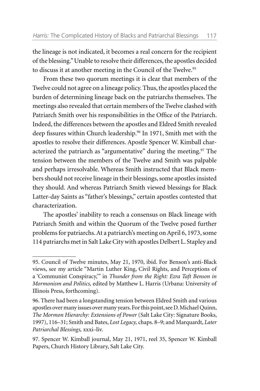the lineage is not indicated, it becomes a real concern for the recipient of the blessing." Unable to resolve their differences, the apostles decided to discuss it at another meeting in the Council of the Twelve.<sup>95</sup>

From these two quorum meetings it is clear that members of the Twelve could not agree on a lineage policy. Thus, the apostles placed the burden of determining lineage back on the patriarchs themselves. The meetings also revealed that certain members of the Twelve clashed with Patriarch Smith over his responsibilities in the Office of the Patriarch. Indeed, the differences between the apostles and Eldred Smith revealed deep fissures within Church leadership.<sup>96</sup> In 1971, Smith met with the apostles to resolve their differences. Apostle Spencer W. Kimball characterized the patriarch as "argumentative" during the meeting.<sup>97</sup> The tension between the members of the Twelve and Smith was palpable and perhaps irresolvable. Whereas Smith instructed that Black members should not receive lineage in their blessings, some apostles insisted they should. And whereas Patriarch Smith viewed blessings for Black Latter-day Saints as "father's blessings," certain apostles contested that characterization.

The apostles' inability to reach a consensus on Black lineage with Patriarch Smith and within the Quorum of the Twelve posed further problems for patriarchs. At a patriarch's meeting on April 6, 1973, some 114 patriarchs met in Salt Lake City with apostles Delbert L. Stapley and

<sup>95.</sup> Council of Twelve minutes, May 21, 1970, ibid. For Benson's anti-Black views, see my article "Martin Luther King, Civil Rights, and Perceptions of a 'Communist Conspiracy,'" in *Thunder from the Right: Ezra Taft Benson in Mormonism and Politics,* edited by Matthew L. Harris (Urbana: University of Illinois Press, forthcoming).

<sup>96.</sup> There had been a longstanding tension between Eldred Smith and various apostles over many issues over many years. For this point, see D. Michael Quinn, *The Mormon Hierarchy: Extensions of Power* (Salt Lake City: Signature Books, 1997), 116–31; Smith and Bates, *Lost Legacy,* chaps. 8–9; and Marquardt, *Later Patriarchal Blessings,* xxxi–liv.

<sup>97.</sup> Spencer W. Kimball journal, May 21, 1971, reel 35, Spencer W. Kimball Papers, Church History Library, Salt Lake City.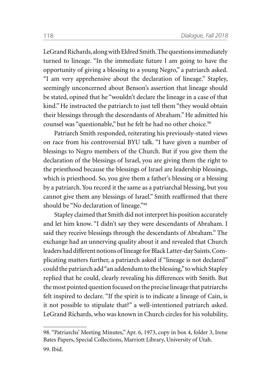LeGrand Richards, along with Eldred Smith. The questions immediately turned to lineage. "In the immediate future I am going to have the opportunity of giving a blessing to a young Negro," a patriarch asked. "I am very apprehensive about the declaration of lineage." Stapley, seemingly unconcerned about Benson's assertion that lineage should be stated, opined that he "wouldn't declare the lineage in a case of that kind." He instructed the patriarch to just tell them "they would obtain their blessings through the descendants of Abraham." He admitted his counsel was "questionable," but he felt he had no other choice.<sup>98</sup>

Patriarch Smith responded, reiterating his previously-stated views on race from his controversial BYU talk. "I have given a number of blessings to Negro members of the Church. But if you give them the declaration of the blessings of Israel, you are giving them the right to the priesthood because the blessings of Israel are leadership blessings, which is priesthood. So, you give them a father's blessing or a blessing by a patriarch. You record it the same as a patriarchal blessing, but you cannot give them any blessings of Israel." Smith reaffirmed that there should be "No declaration of lineage."99

Stapley claimed that Smith did not interpret his position accurately and let him know. "I didn't say they were descendants of Abraham. I said they receive blessings through the descendants of Abraham." The exchange had an unnerving quality about it and revealed that Church leaders had different notions of lineage for Black Latter-day Saints. Complicating matters further, a patriarch asked if "lineage is not declared" could the patriarch add "an addendum to the blessing," to which Stapley replied that he could, clearly revealing his differences with Smith. But the most pointed question focused on the precise lineage that patriarchs felt inspired to declare. "If the spirit is to indicate a lineage of Cain, is it not possible to stipulate that?" a well-intentioned patriarch asked. LeGrand Richards, who was known in Church circles for his volubility,

<sup>98. &</sup>quot;Patriarchs' Meeting Minutes," Apr. 6, 1973, copy in box 4, folder 3, Irene Bates Papers, Special Collections, Marriott Library, University of Utah. 99. Ibid.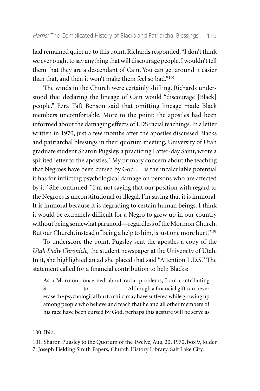had remained quiet up to this point. Richards responded, "I don't think we ever ought to say anything that will discourage people. I wouldn't tell them that they are a descendant of Cain. You can get around it easier than that, and then it won't make them feel so bad."<sup>100</sup>

The winds in the Church were certainly shifting. Richards understood that declaring the lineage of Cain would "discourage [Black] people." Ezra Taft Benson said that omitting lineage made Black members uncomfortable. More to the point: the apostles had been informed about the damaging effects of LDS racial teachings. In a letter written in 1970, just a few months after the apostles discussed Blacks and patriarchal blessings in their quorum meeting, University of Utah graduate student Sharon Pugsley, a practicing Latter-day Saint, wrote a spirited letter to the apostles. "My primary concern about the teaching that Negroes have been cursed by God . . . is the incalculable potential it has for inflicting psychological damage on persons who are affected by it." She continued: "I'm not saying that our position with regard to the Negroes is unconstitutional or illegal. I'm saying that it is immoral. It is immoral because it is degrading to certain human beings. I think it would be extremely difficult for a Negro to grow up in our country without being somewhat paranoid—regardless of the Mormon Church. But our Church, instead of being a help to him, is just one more hurt."101

To underscore the point, Pugsley sent the apostles a copy of the *Utah Daily Chronicle,* the student newspaper at the University of Utah. In it, she highlighted an ad she placed that said "Attention L.D.S." The statement called for a financial contribution to help Blacks:

As a Mormon concerned about racial problems, I am contributing \_to \_\_\_\_\_\_\_\_\_\_\_\_\_\_. Although a financial gift can never erase the psychological hurt a child may have suffered while growing up among people who believe and teach that he and all other members of his race have been cursed by God, perhaps this gesture will be serve as

<sup>100.</sup> Ibid.

<sup>101.</sup> Sharon Pugsley to the Quorum of the Twelve, Aug. 20, 1970, box 9, folder 7, Joseph Fielding Smith Papers, Church History Library, Salt Lake City.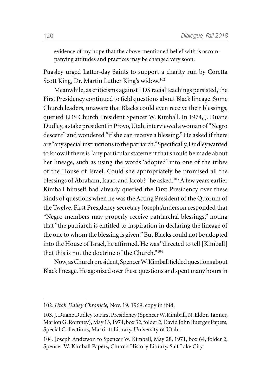evidence of my hope that the above-mentioned belief with is accompanying attitudes and practices may be changed very soon.

Pugsley urged Latter-day Saints to support a charity run by Coretta Scott King, Dr. Martin Luther King's widow.102

Meanwhile, as criticisms against LDS racial teachings persisted, the First Presidency continued to field questions about Black lineage. Some Church leaders, unaware that Blacks could even receive their blessings, queried LDS Church President Spencer W. Kimball. In 1974, J. Duane Dudley, a stake president in Provo, Utah, interviewed a woman of "Negro descent" and wondered "if she can receive a blessing." He asked if there are "any special instructions to the patriarch." Specifically, Dudley wanted to know if there is "any particular statement that should be made about her lineage, such as using the words 'adopted' into one of the tribes of the House of Israel. Could she appropriately be promised all the blessings of Abraham, Isaac, and Jacob?" he asked.<sup>103</sup> A few years earlier Kimball himself had already queried the First Presidency over these kinds of questions when he was the Acting President of the Quorum of the Twelve. First Presidency secretary Joseph Anderson responded that "Negro members may properly receive patriarchal blessings," noting that "the patriarch is entitled to inspiration in declaring the lineage of the one to whom the blessing is given." But Blacks could not be adopted into the House of Israel, he affirmed. He was "directed to tell [Kimball] that this is not the doctrine of the Church."104

Now, as Church president, Spencer W. Kimball fielded questions about Black lineage. He agonized over these questions and spent many hours in

<sup>102.</sup> *Utah Dailey Chronicle,* Nov. 19, 1969, copy in ibid.

<sup>103.</sup> J. Duane Dudley to First Presidency (Spencer W. Kimball, N. Eldon Tanner, Marion G. Romney), May 13, 1974, box 32, folder 2, David John Buerger Papers, Special Collections, Marriott Library, University of Utah.

<sup>104.</sup> Joseph Anderson to Spencer W. Kimball, May 28, 1971, box 64, folder 2, Spencer W. Kimball Papers, Church History Library, Salt Lake City.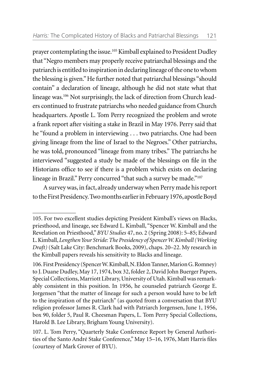prayer contemplating the issue.<sup>105</sup> Kimball explained to President Dudley that "Negro members may properly receive patriarchal blessings and the patriarch is entitled to inspiration in declaring lineage of the one to whom the blessing is given." He further noted that patriarchal blessings "should contain" a declaration of lineage, although he did not state what that lineage was.<sup>106</sup> Not surprisingly, the lack of direction from Church leaders continued to frustrate patriarchs who needed guidance from Church headquarters. Apostle L. Tom Perry recognized the problem and wrote a frank report after visiting a stake in Brazil in May 1976. Perry said that he "found a problem in interviewing . . . two patriarchs. One had been giving lineage from the line of Israel to the Negroes." Other patriarchs, he was told, pronounced "lineage from many tribes." The patriarchs he interviewed "suggested a study be made of the blessings on file in the Historians office to see if there is a problem which exists on declaring lineage in Brazil." Perry concurred "that such a survey be made."107

A survey was, in fact, already underway when Perry made his report to the First Presidency. Two months earlier in February 1976, apostle Boyd

<sup>105.</sup> For two excellent studies depicting President Kimball's views on Blacks, priesthood, and lineage, see Edward L. Kimball, "Spencer W. Kimball and the Revelation on Priesthood," *BYU Studies* 47, no. 2 (Spring 2008): 5–85; Edward L. Kimball, *Lengthen Your Stride: The Presidency of Spencer W. Kimball (Working Draft)* (Salt Lake City: Benchmark Books, 2009), chaps. 20–22. My research in the Kimball papers reveals his sensitivity to Blacks and lineage.

<sup>106.</sup> First Presidency (Spencer W. Kimball, N. Eldon Tanner, Marion G. Romney) to J. Duane Dudley, May 17, 1974, box 32, folder 2, David John Buerger Papers, Special Collections, Marriott Library, University of Utah. Kimball was remarkably consistent in this position. In 1956, he counseled patriarch George E. Jorgensen "that the matter of lineage for such a person would have to be left to the inspiration of the patriarch" (as quoted from a conversation that BYU religion professor James R. Clark had with Patriarch Jorgensen, June 1, 1956, box 90, folder 5, Paul R. Cheesman Papers, L. Tom Perry Special Collections, Harold B. Lee Library, Brigham Young University).

<sup>107.</sup> L. Tom Perry, "Quarterly Stake Conference Report by General Authorities of the Santo André Stake Conference," May 15–16, 1976, Matt Harris files (courtesy of Mark Grover of BYU).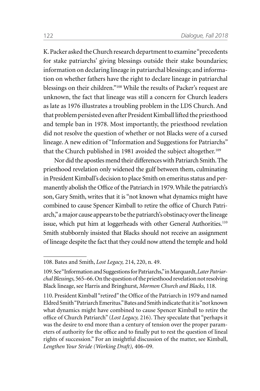K. Packer asked the Church research department to examine "precedents for stake patriarchs' giving blessings outside their stake boundaries; information on declaring lineage in patriarchal blessings; and information on whether fathers have the right to declare lineage in patriarchal blessings on their children."108 While the results of Packer's request are unknown, the fact that lineage was still a concern for Church leaders as late as 1976 illustrates a troubling problem in the LDS Church. And that problem persisted even after President Kimball lifted the priesthood and temple ban in 1978. Most importantly, the priesthood revelation did not resolve the question of whether or not Blacks were of a cursed lineage. A new edition of "Information and Suggestions for Patriarchs" that the Church published in 1981 avoided the subject altogether.<sup>109</sup>

Nor did the apostles mend their differences with Patriarch Smith. The priesthood revelation only widened the gulf between them, culminating in President Kimball's decision to place Smith on emeritus status and permanently abolish the Office of the Patriarch in 1979. While the patriarch's son, Gary Smith, writes that it is "not known what dynamics might have combined to cause Spencer Kimball to retire the office of Church Patriarch," a major cause appears to be the patriarch's obstinacy over the lineage issue, which put him at loggerheads with other General Authorities.<sup>110</sup> Smith stubbornly insisted that Blacks should not receive an assignment of lineage despite the fact that they could now attend the temple and hold

<sup>108.</sup> Bates and Smith, *Lost Legacy,* 214, 220, n. 49.

<sup>109.</sup> See "Information and Suggestions for Patriarchs," in Marquardt, *Later Patriarchal Blessings,* 565–66. On the question of the priesthood revelation not resolving Black lineage, see Harris and Bringhurst, *Mormon Church and Blacks,* 118.

<sup>110.</sup> President Kimball "retired" the Office of the Patriarch in 1979 and named Eldred Smith "Patriarch Emeritus." Bates and Smith indicate that it is "not known what dynamics might have combined to cause Spencer Kimball to retire the office of Church Patriarch" (*Lost Legacy,* 216). They speculate that "perhaps it was the desire to end more than a century of tension over the proper parameters of authority for the office and to finally put to rest the question of lineal rights of succession." For an insightful discussion of the matter, see Kimball, *Lengthen Your Stride (Working Draft),* 406–09.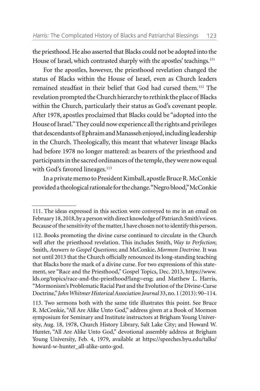the priesthood. He also asserted that Blacks could not be adopted into the House of Israel, which contrasted sharply with the apostles' teachings.<sup>111</sup>

For the apostles, however, the priesthood revelation changed the status of Blacks within the House of Israel, even as Church leaders remained steadfast in their belief that God had cursed them.112 The revelation prompted the Church hierarchy to rethink the place of Blacks within the Church, particularly their status as God's covenant people. After 1978, apostles proclaimed that Blacks could be "adopted into the House of Israel." They could now experience all the rights and privileges that descendants of Ephraim and Manasseh enjoyed, including leadership in the Church. Theologically, this meant that whatever lineage Blacks had before 1978 no longer mattered: as bearers of the priesthood and participants in the sacred ordinances of the temple, they were now equal with God's favored lineages.<sup>113</sup>

In a private memo to President Kimball, apostle Bruce R. McConkie provided a theological rationale for the change. "Negro blood," McConkie

<sup>111.</sup> The ideas expressed in this section were conveyed to me in an email on February 18, 2018, by a person with direct knowledge of Patriarch Smith's views. Because of the sensitivity of the matter, I have chosen not to identify this person.

<sup>112.</sup> Books promoting the divine curse continued to circulate in the Church well after the priesthood revelation. This includes Smith, *Way to Perfection*; Smith, *Answers to Gospel Questions*; and McConkie, *Mormon Doctrine.* It was not until 2013 that the Church officially renounced its long-standing teaching that Blacks bore the mark of a divine curse. For two expressions of this statement, see "Race and the Priesthood," Gospel Topics, Dec. 2013, https://www. lds.org/topics/race-and-the-priesthood?lang=eng; and Matthew L. Harris, "Mormonism's Problematic Racial Past and the Evolution of the Divine-Curse Doctrine," *John Whitmer Historical Association Journal* 33, no. 1 (2013): 90–114.

<sup>113.</sup> Two sermons both with the same title illustrates this point. See Bruce R. McConkie, "All Are Alike Unto God," address given at a Book of Mormon symposium for Seminary and Institute instructors at Brigham Young University, Aug. 18, 1978, Church History Library, Salt Lake City; and Howard W. Hunter, "All Are Alike Unto God," devotional assembly address at Brigham Young University, Feb. 4, 1979, available at https://speeches.byu.edu/talks/ howard-w-hunter\_all-alike-unto-god.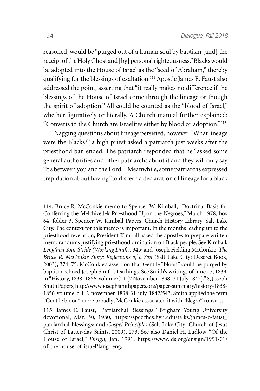reasoned, would be "purged out of a human soul by baptism [and] the receipt of the Holy Ghost and [by] personal righteousness." Blacks would be adopted into the House of Israel as the "seed of Abraham," thereby qualifying for the blessings of exaltation.<sup>114</sup> Apostle James E. Faust also addressed the point, asserting that "it really makes no difference if the blessings of the House of Israel come through the lineage or though the spirit of adoption." All could be counted as the "blood of Israel," whether figuratively or literally. A Church manual further explained: "Converts to the Church are Israelites either by blood or adoption."115

Nagging questions about lineage persisted, however. "What lineage were the Blacks?" a high priest asked a patriarch just weeks after the priesthood ban ended. The patriarch responded that he "asked some general authorities and other patriarchs about it and they will only say 'It's between you and the Lord.'" Meanwhile, some patriarchs expressed trepidation about having "to discern a declaration of lineage for a black

<sup>114.</sup> Bruce R. McConkie memo to Spencer W. Kimball, "Doctrinal Basis for Conferring the Melchizedek Priesthood Upon the Negroes," March 1978, box 64, folder 3, Spencer W. Kimball Papers, Church History Library, Salt Lake City. The context for this memo is important. In the months leading up to the priesthood revelation, President Kimball asked the apostles to prepare written memorandums justifying priesthood ordination on Black people. See Kimball, *Lengthen Your Stride (Working Draft),* 345; and Joseph Fielding McConkie, *The Bruce R. McConkie Story: Reflections of a Son* (Salt Lake City: Deseret Book, 2003), 374–75. McConkie's assertion that Gentile "blood" could be purged by baptism echoed Joseph Smith's teachings. See Smith's writings of June 27, 1839, in "History, 1838–1856, volume C-1 [2 November 1838–31 July 1842]," 8, Joseph Smith Papers, http://www.josephsmithpapers.org/paper-summary/history-1838- 1856-volume-c-1-2-november-1838-31-july-1842/543. Smith applied the term "Gentile blood" more broadly; McConkie associated it with "Negro" converts.

<sup>115.</sup> James E. Faust, "Patriarchal Blessings," Brigham Young University devotional, Mar. 30, 1980, https://speeches.byu.edu/talks/james-e-faust\_ patriarchal-blessings; and *Gospel Principles* (Salt Lake City: Church of Jesus Christ of Latter-day Saints, 2009), 273. See also Daniel H. Ludlow, "Of the House of Israel," *Ensign,* Jan. 1991, https://www.lds.org/ensign/1991/01/ of-the-house-of-israel?lang=eng.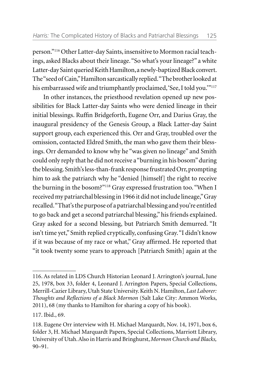person."116 Other Latter-day Saints, insensitive to Mormon racial teachings, asked Blacks about their lineage. "So what's your lineage?" a white Latter-day Saint queried Keith Hamilton, a newly-baptized Black convert. The "seed of Cain," Hamilton sarcastically replied. "The brother looked at his embarrassed wife and triumphantly proclaimed, 'See, I told you.'"<sup>117</sup>

In other instances, the priesthood revelation opened up new possibilities for Black Latter-day Saints who were denied lineage in their initial blessings. Ruffin Bridgeforth, Eugene Orr, and Darius Gray, the inaugural presidency of the Genesis Group, a Black Latter-day Saint support group, each experienced this. Orr and Gray, troubled over the omission, contacted Eldred Smith, the man who gave them their blessings. Orr demanded to know why he "was given no lineage" and Smith could only reply that he did not receive a "burning in his bosom" during the blessing. Smith's less-than-frank response frustrated Orr, prompting him to ask the patriarch why he "denied [himself] the right to receive the burning in the bosom?"<sup>118</sup> Gray expressed frustration too. "When I received my patriarchal blessing in 1966 it did not include lineage," Gray recalled. "That's the purpose of a patriarchal blessing and you're entitled to go back and get a second patriarchal blessing," his friends explained. Gray asked for a second blessing, but Patriarch Smith demurred. "It isn't time yet," Smith replied cryptically, confusing Gray. "I didn't know if it was because of my race or what," Gray affirmed. He reported that "it took twenty some years to approach [Patriarch Smith] again at the

<sup>116.</sup> As related in LDS Church Historian Leonard J. Arrington's journal, June 25, 1978, box 33, folder 4, Leonard J. Arrington Papers, Special Collections, Merrill-Cazier Library, Utah State University. Keith N. Hamilton, *Last Laborer: Thoughts and Reflections of a Black Mormon* (Salt Lake City: Ammon Works, 2011), 68 (my thanks to Hamilton for sharing a copy of his book).

<sup>117.</sup> Ibid., 69.

<sup>118.</sup> Eugene Orr interview with H. Michael Marquardt, Nov. 14, 1971, box 6, folder 3, H. Michael Marquardt Papers, Special Collections, Marriott Library, University of Utah. Also in Harris and Bringhurst, *Mormon Church and Blacks,* 90–91.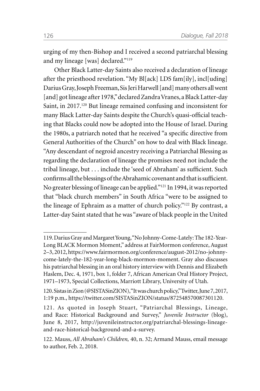urging of my then-Bishop and I received a second patriarchal blessing and my lineage [was] declared."119

Other Black Latter-day Saints also received a declaration of lineage after the priesthood revelation. "My Bl[ack] LDS fam[ily], incl[uding] Darius Gray, Joseph Freeman, Sis Jeri Harwell [and] many others all went [and] got lineage after 1978," declared Zandra Vranes, a Black Latter-day Saint, in 2017.<sup>120</sup> But lineage remained confusing and inconsistent for many Black Latter-day Saints despite the Church's quasi-official teaching that Blacks could now be adopted into the House of Israel. During the 1980s, a patriarch noted that he received "a specific directive from General Authorities of the Church" on how to deal with Black lineage. "Any descendant of negroid ancestry receiving a Patriarchal Blessing as regarding the declaration of lineage the promises need not include the tribal lineage, but . . . include the 'seed of Abraham' as sufficient. Such confirms all the blessings of the Abrahamic covenant and that is sufficient. No greater blessing of lineage can be applied."121 In 1994, it was reported that "black church members" in South Africa "were to be assigned to the lineage of Ephraim as a matter of church policy."122 By contrast, a Latter-day Saint stated that he was "aware of black people in the United

<sup>119.</sup> Darius Gray and Margaret Young, "No Johnny-Come-Lately: The 182-Year-Long BLACK Mormon Moment," address at FairMormon conference, August 2–3, 2012, https://www.fairmormon.org/conference/august-2012/no-johnnycome-lately-the-182-year-long-black-mormon-moment. Gray also discusses his patriarchal blessing in an oral history interview with Dennis and Elizabeth Haslem, Dec. 4, 1971, box 1, folder 7, African American Oral History Project, 1971–1973, Special Collections, Marriott Library, University of Utah.

<sup>120.</sup> Sistas in Zion (@SISTASinZION), "It was church policy," Twitter, June 7, 2017, 1:19 p.m., https://twitter.com/SISTASinZION/status/872548570087301120.

<sup>121.</sup> As quoted in Joseph Stuart, "Patriarchal Blessings, Lineage, and Race: Historical Background and Survey," *Juvenile Instructor* (blog), June 8, 2017, http://juvenileinstructor.org/patriarchal-blessings-lineageand-race-historical-background-and-a-survey.

<sup>122.</sup> Mauss, *All Abraham's Children,* 40, n. 32; Armand Mauss, email message to author, Feb. 2, 2018.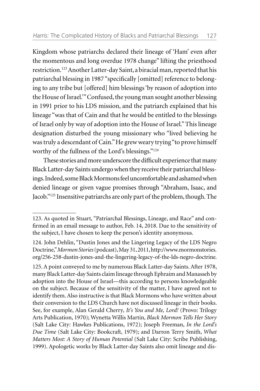Kingdom whose patriarchs declared their lineage of 'Ham' even after the momentous and long overdue 1978 change" lifting the priesthood restriction.123 Another Latter-day Saint, a biracial man, reported that his patriarchal blessing in 1987 "specifically [omitted] reference to belonging to any tribe but [offered] him blessings 'by reason of adoption into the House of Israel.'" Confused, the young man sought another blessing in 1991 prior to his LDS mission, and the patriarch explained that his lineage "was that of Cain and that he would be entitled to the blessings of Israel only by way of adoption into the House of Israel." This lineage designation disturbed the young missionary who "lived believing he was truly a descendant of Cain." He grew weary trying "to prove himself worthy of the fullness of the Lord's blessings."124

These stories and more underscore the difficult experience that many Black Latter-day Saints undergo when they receive their patriarchal blessings. Indeed, some Black Mormons feel uncomfortable and ashamed when denied lineage or given vague promises through "Abraham, Isaac, and Jacob."125 Insensitive patriarchs are only part of the problem, though. The

<sup>123.</sup> As quoted in Stuart, "Patriarchal Blessings, Lineage, and Race" and confirmed in an email message to author, Feb. 14, 2018. Due to the sensitivity of the subject, I have chosen to keep the person's identity anonymous.

<sup>124.</sup> John Dehlin, "Dustin Jones and the Lingering Legacy of the LDS Negro Doctrine," *Mormon Stories* (podcast), May 31, 2011, http://www.mormonstories. org/256-258-dustin-jones-and-the-lingering-legacy-of-the-lds-negro-doctrine.

<sup>125.</sup> A point conveyed to me by numerous Black Latter-day Saints. After 1978, many Black Latter-day Saints claim lineage through Ephraim and Manasseh by adoption into the House of Israel—this according to persons knowledgeable on the subject. Because of the sensitivity of the matter, I have agreed not to identify them. Also instructive is that Black Mormons who have written about their conversion to the LDS Church have not discussed lineage in their books. See, for example, Alan Gerald Cherry*, It's You and Me, Lord!* (Provo: Trilogy Arts Publication, 1970); Wynetta Willis Martin, *Black Mormon Tells Her Story* (Salt Lake City: Hawkes Publications, 1972); Joseph Freeman, *In the Lord's Due Time* (Salt Lake City: Bookcraft, 1979); and Darron Terry Smith, *What Matters Most: A Story of Human Potential* (Salt Lake City: Scribe Publishing, 1999). Apologetic works by Black Latter-day Saints also omit lineage and dis-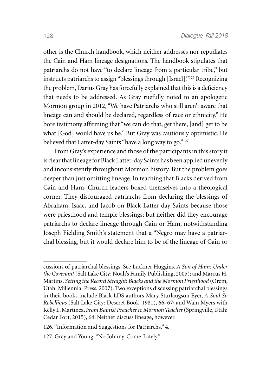other is the Church handbook, which neither addresses nor repudiates the Cain and Ham lineage designations. The handbook stipulates that patriarchs do not have "to declare lineage from a particular tribe," but instructs patriarchs to assign "blessings through [Israel]."126 Recognizing the problem, Darius Gray has forcefully explained that this is a deficiency that needs to be addressed. As Gray ruefully noted to an apologetic Mormon group in 2012, "We have Patriarchs who still aren't aware that lineage can and should be declared, regardless of race or ethnicity." He bore testimony affirming that "we can do that, get there, [and] get to be what [God] would have us be." But Gray was cautiously optimistic. He believed that Latter-day Saints "have a long way to go."<sup>127</sup>

From Gray's experience and those of the participants in this story it is clear that lineage for Black Latter-day Saints has been applied unevenly and inconsistently throughout Mormon history. But the problem goes deeper than just omitting lineage. In teaching that Blacks derived from Cain and Ham, Church leaders boxed themselves into a theological corner. They discouraged patriarchs from declaring the blessings of Abraham, Isaac, and Jacob on Black Latter-day Saints because those were priesthood and temple blessings; but neither did they encourage patriarchs to declare lineage through Cain or Ham, notwithstanding Joseph Fielding Smith's statement that a "Negro may have a patriarchal blessing, but it would declare him to be of the lineage of Cain or

cussions of patriarchal blessings. See Luckner Huggins, *A Son of Ham: Under the Covenant* (Salt Lake City: Noah's Family Publishing, 2005); and Marcus H. Martins, *Setting the Record Straight: Blacks and the Mormon Priesthood* (Orem, Utah: Millennial Press, 2007). Two exceptions discussing patriarchal blessings in their books include Black LDS authors Mary Sturlaugson Eyer, *A Soul So Rebellious* (Salt Lake City: Deseret Book, 1981), 66–67; and Wain Myers with Kelly L. Martinez, *From Baptist Preacher to Mormon Teacher* (Springville, Utah: Cedar Fort, 2015), 64. Neither discuss lineage, however.

<sup>126. &</sup>quot;Information and Suggestions for Patriarchs," 4.

<sup>127.</sup> Gray and Young, "No Johnny-Come-Lately."